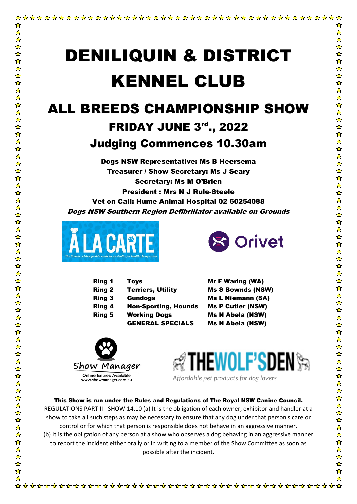# ALL BREEDS CHAMPIONSHIP SHOW FRIDAY JUNE 3rd., 2022

# Judging Commences 10.30am

Dogs NSW Representative: Ms B Heersema Treasurer / Show Secretary: Ms J Seary Secretary: Ms M O'Brien President : Mrs N J Rule-Steele Vet on Call: Hume Animal Hospital 02 60254088 Dogs NSW Southern Region Defibrillator available on Grounds



 $\frac{1}{\sqrt{2}}$  $\frac{1}{\sqrt{2}}$ 

|  | 8 Orivet |
|--|----------|
|--|----------|

| Ring 1        | Toys                        | <b>Mr F Waring (WA)</b>  |
|---------------|-----------------------------|--------------------------|
| <b>Ring 2</b> | <b>Terriers, Utility</b>    | <b>Ms S Bownds (NSW)</b> |
| <b>Ring 3</b> | <b>Gundogs</b>              | <b>Ms L Niemann (SA)</b> |
| Ring 4        | <b>Non-Sporting, Hounds</b> | <b>Ms P Cutler (NSW)</b> |
| <b>Ring 5</b> | <b>Working Dogs</b>         | <b>Ms N Abela (NSW)</b>  |
|               | <b>GENERAL SPECIALS</b>     | <b>Ms N Abela (NSW)</b>  |
|               |                             |                          |





# This Show is run under the Rules and Regulations of The Royal NSW Canine Council.

REGULATIONS PART II - SHOW 14.10 (a) It is the obligation of each owner, exhibitor and handler at a show to take all such steps as may be necessary to ensure that any dog under that person's care or control or for which that person is responsible does not behave in an aggressive manner.

(b) It is the obligation of any person at a show who observes a dog behaving in an aggressive manner to report the incident either orally or in writing to a member of the Show Committee as soon as possible after the incident.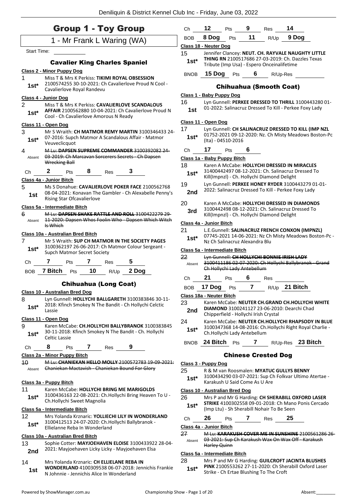# Group 1 - Toy Group 1 - Mr Frank L Waring (WA) Start Time: Cavalier King Charles Spaniel **Class 2 - Minor Puppy Dog** 1 Miss T & Mrs K Perkiss: **TIKIMI ROYAL OBSESSION** 2100574255 30-10-2021: Ch Cavalierlove Proud N Cool - Cavalierlove Royal Randevu **1st\* Class 4 - Junior Dog** 2 Miss T & Mrs K Perkiss: **CAVALIERLOVE SCANDALOUS AFFAIR** 2100562880 10-04-2021: Ch Cavalierlove Proud N **1st\*** AFFAIR 2100562880 10-04-2021: Ch Cavalier Cool - Ch Cavalier love Amorous N Ready **Class 11 - Open Dog** 3 Mr S Wraith: **CH MATMOR REMY MARTIN** 3100346433 24- 07-2016: Supch Matmor A Scandalous Affair - Matmor Veuveclicquot **1st\*** 4 M Lu: **DAPSEN SUPREME COMMANDER** 3100392082 24- 03-2019: Ch Marcavan Sorcerers Secrets - Ch Dapsen Wrecking Ball Absent Ch **2** Pts **8** Res **3 Class 4a - Junior Bitch** 5 Ms S Donahue: **CAVALIERLOVE POKER FACE** 2100562768 08-04-2021: Konavan The Gambler - Ch Alexabelle Penny's **1st** U8-04-2021: Konavan The<br>Rising Star Ofcavalierlove **Class 5a - Intermediate Bitch** 6 M Lu: **DAPSEN SHAKE RATTLE AND ROLL** 3100422279 29- 11-2020: Dapsen Whos Foolin Who - Dapsen Which Witch Is Which Absent **Class 10a - Australian Bred Bitch** 7 Mr S Wraith: **SUP CH MATMOR IN THE SOCIETY PAGES** 3100362197 26-06-2017: Ch Matmor Colour Sergeant - 1st\* 5100362197 Z6-06-2017: Chi Ch **7** Pts **7** Res **5** BOB **7 Bitch** Pts **10** R/Up **2 Dog** Chihuahua (Long Coat) **Class 10 - Australian Bred Dog** 8 Lyn Gunnell: **HOLLYCHI BALLGARETH** 3100383846 30-11- 2018: Kfinch Smokey N The Bandit - Ch Hollychi Celctic Lassie **1st\* Class 11 - Open Dog** 9 Karen McCabe: **CH.HOLLYCHI BALLYBRANOK** 3100383845 30-11-2018: Kfinch Smokey N The Bandit - Ch. Hollychi **1st**\* <sup>30-11-2018:<br>Celtic Lassie</sup> Ch **8** Pts **7** Res **9 Class 2a - Minor Puppy Bitch** 10 M Lu: **CHANIEKAN HELLO MOLLY** 2100572783 19-09-2021: Absent **Chaniekan Mactavish - Chaniekan Bound For Glory Class 3a - Puppy Bitch** 11 Karen McCabe: **HOLLYCHI BRING ME MARIGOLDS** 3100436163 22-08-2021: Ch.Hollychi Bring Heaven To U - 1st\* 5100430103 ZZ-08-Z0Z1: Cr<br>Ch.Hollychi Sweet Magnolia

# **Class 5a - Intermediate Bitch**

| 12     | Mrs Yolanda Krznaric: YOLLIECHI LILY IN WONDERLAND |
|--------|----------------------------------------------------|
| $1st*$ | 3100412513 24-07-2020: Ch.Hollychi Ballybranok -   |
|        | Ellielanne Reba In Wonderland                      |

#### **Class 10a - Australian Bred Bitch**

13 Sophie Cotter: **MAYJOEHAVEN ELOISE** 3100433922 28-04- 2nd 2021: Mayjoehaven Licky Licky - Mayjoehaven Elsa

# 14 Mrs Yolanda Krznaric: **CH ELLIELANE REBA IN**

**WONDERLAND** 4100309538 06-07-2018: Jennichis Frankie **1st WONDERLAND** 4100309538 06-07-2018:<br>
N Johnnie - Jennichis Alice In Wonderland

| iub Inc - Friday, June 03, 2022 |                               |                                |             |                                             |                                                                                                                |  |
|---------------------------------|-------------------------------|--------------------------------|-------------|---------------------------------------------|----------------------------------------------------------------------------------------------------------------|--|
| Ch                              | 12                            | Pts                            | $9^{\circ}$ | Res                                         | 14                                                                                                             |  |
|                                 | BOB 8 Dog                     |                                |             | Pts 11 R/Up 9 Dog                           |                                                                                                                |  |
|                                 |                               |                                |             |                                             |                                                                                                                |  |
|                                 | Class 18 - Neuter Dog         |                                |             |                                             |                                                                                                                |  |
| 15                              |                               |                                |             |                                             | Jennifer Clancey: NEUT. CH. RAYVALE NAUGHTY LITTLE<br><b>THING RN 2100517686 27-03-2019: Ch. Dazzles Texas</b> |  |
| $1st^*$                         |                               |                                |             | Tribute (Imp Usa) - Espero Onceinalifetime  |                                                                                                                |  |
| BNOB                            |                               |                                |             | <b>15 Dog</b> Pts 6 R/Up-Res                |                                                                                                                |  |
|                                 |                               |                                |             | <b>Chihuahua (Smooth Coat)</b>              |                                                                                                                |  |
|                                 | Class 1 - Baby Puppy Dog      |                                |             |                                             |                                                                                                                |  |
| 16                              |                               |                                |             |                                             | Lyn Gunnell: PERKEE DRESSED TO THRILL 3100443280 01-                                                           |  |
| 1st                             |                               |                                |             |                                             | 01-2022: Salinacruz Dressed To Kill - Perkee Foxy Lady                                                         |  |
|                                 |                               |                                |             |                                             |                                                                                                                |  |
|                                 | Class 11 - Open Dog           |                                |             |                                             |                                                                                                                |  |
| 17 <sup>2</sup>                 |                               |                                |             |                                             | Lyn Gunnell: CH SALINACRUZ DRESSED TO KILL (IMP NZL                                                            |  |
| $1st*$                          |                               |                                |             |                                             | 01752-2021 09-12-2020: Nz. Ch Misty Meadows Boston-Pc                                                          |  |
|                                 |                               | (Ita) - 04510-2016             |             |                                             |                                                                                                                |  |
| Ch                              | 17                            | Pts                            | 6           |                                             |                                                                                                                |  |
|                                 | Class 1a - Baby Puppy Bitch   |                                |             |                                             |                                                                                                                |  |
| 18                              |                               |                                |             |                                             | Karen A McCabe: HOLLYCHI DRESSED IN MIRACLES                                                                   |  |
| $1st^*$                         |                               |                                |             |                                             | 31400442497 08-12-2021: Ch. Salinacruz Dressed To                                                              |  |
|                                 |                               |                                |             | Kill(Impnzl) - Ch. Hollychi Diamond Delight |                                                                                                                |  |
| 19                              |                               |                                |             |                                             | Lyn Gunnell: PERKEE HONEY RYDER 3100443279 01-01-                                                              |  |
| 2nd                             |                               |                                |             |                                             | 2022: Salinacruz Dressed To Kill - Perkee Foxy Lady                                                            |  |
|                                 |                               |                                |             |                                             |                                                                                                                |  |
| 20                              |                               |                                |             |                                             | Karen A McCabe: HOLLYCHI DRESSED IN DIAMONDS<br>3100442498 08-12-2021: Ch. Salinacruz Dressed To               |  |
| 3rd                             |                               |                                |             | Kill(Impnzl) - Ch. Hollychi Diamond Delight |                                                                                                                |  |
|                                 | Class 4a - Junior Bitch       |                                |             |                                             |                                                                                                                |  |
| 21                              |                               |                                |             |                                             | L.E.Gunnell: SALINACRUZ FRENCH CONXON (IMPNZL)                                                                 |  |
| $1st^*$                         |                               |                                |             |                                             | 07745-2021 14-06-2021: Nz Ch Misty Meadows Boston-Pc -                                                         |  |
|                                 |                               | Nz Ch Salinacruz Alexandra Blu |             |                                             |                                                                                                                |  |
|                                 | Class 5a - Intermediate Bitch |                                |             |                                             |                                                                                                                |  |
| 22                              |                               |                                |             |                                             | Lyn Gunnell: CH HOLLYCHI BONNIE IRISH LADY                                                                     |  |
| Absent                          |                               |                                |             |                                             | 3100411186 02-07-2020: Ch Hollychi Ballybranok - Grand                                                         |  |
|                                 |                               | Ch Hollychi Lady Antebellum    |             |                                             |                                                                                                                |  |

# Ch **21** Pts **6** Res

| BOB 17 Dog Pts |  | $R/Up$ 21 Bitch |
|----------------|--|-----------------|

# **Class 18a - Neuter Bitch**

- 23 Karen McCabe: **NEUTER CH.GRAND CH.HOLLYCHI WHITE DIAMOND** 3100241127 23-06-2010: Dearchi Chad **2nd** DIAMOND 3100241127 23-06-201<br>Chipperfield - Hollychi Irish Crystal
- 
- 24 Karen McCabe: **NEUTER CH.HOLLYCHI RHAPSODY IN BLUE** 3100347368 14-08-2016: Ch.Hollychi Right Royal Charlie - Ch.Hollychi Lady Antebellum **1st\***
- BNOB **24 Bitch** Pts **7** R/Up-Res **23 Bitch**

# Chinese Crested Dog

# **Class 3 - Puppy Dog**

- 25 R & M van Roosmalen: **MYATUC GULLYS BENNY**
- 3100434290 03-07-2021: Sup Ch Folkvar Ultimo Atertae **1st**\* 3100434290 03-07-2021: Sup Cr

# **Class 10 - Australian Bred Dog**

# 26 Mrs P and Mr G Harding: **CH SHERABILL OXFORD LASER STRIKE** 4100302558 09-01-2018: Ch Mano Ponis Cercado (Imp Ltu) - Sh Sherabill Nohair To Be Seen **1st\***

Ch **26** Pts **7** Res **25**

# **Class 4a - Junior Bitch**

| 27     | M Lu: KARAKUSH COVER ME IN SUNSHINE 2100561286 26- |
|--------|----------------------------------------------------|
| Absent | 03-2021: Sup Ch Karakush Wax On Wax Off - Karakush |
|        | Harley Quinn                                       |

# **Class 5a - Intermediate Bitch**

28 Mrs P and Mr G Harding: **GUILCROFT JACINTA BLUSHES PINK** 2100553262 27-11-2020: Ch Sherabill Oxford Laser **1st\*** PINK 2100553262 27-11-2020: Ch Shell<br>Strike - Ch Ertae Blushing To The Croft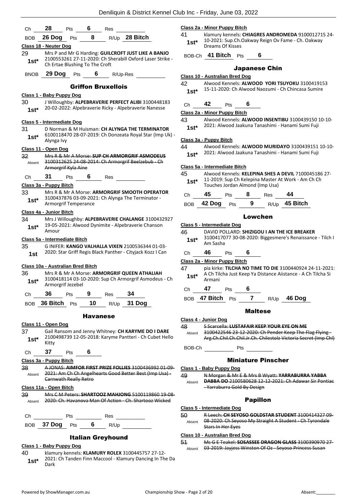| Ch              | 28<br>- 6<br>Pts<br>Res                                                                                        | <u> Class 2a - Minor</u>                |
|-----------------|----------------------------------------------------------------------------------------------------------------|-----------------------------------------|
| BOB             | 26 Dog Pts<br>8<br>R/Up 28 Bitch                                                                               | 41<br>klamu<br>10-20                    |
|                 | <b>Class 18 - Neuter Dog</b>                                                                                   | $1st*$<br>Dream                         |
| 29              | Mrs P and Mr G Harding: GUILCROFT JUST LIKE A BANJO                                                            | - 41 I<br>BOB-Ch                        |
| $1st^*$         | 2100553261 27-11-2020: Ch Sherabill Oxford Laser Strike -<br>Ch Ertae Blushing To The Croft                    |                                         |
|                 | BNOB 29 Dog<br>Pts $\frac{6}{10}$ R/Up-Res                                                                     | Class 10 - Austr                        |
|                 | <b>Griffon Bruxellois</b>                                                                                      | 42<br>Alwoo                             |
|                 | Class 1 - Baby Puppy Dog                                                                                       | $15 - 11$<br>$1st*$                     |
| 30              | J Willoughby: ALPEBRAVERIE PERFECT ALIBI 3100448183                                                            | 42<br>Ch                                |
| $1st^*$         | 20-02-2022: Alpebraverie Ricky - Alpebraverie Nanesse                                                          | Class 2a - Minor                        |
|                 |                                                                                                                | 43<br>Alwoo                             |
| 31              | Class 5 - Intermediate Dog<br>D Norman & M Huisman: CH ALYNGA THE TERMINATOR                                   | 2021:<br>$1st*$                         |
| $1st^*$         | 6100118470 28-07-2019: Ch Donzeata Royal Star (Imp Uk) -                                                       |                                         |
|                 | Alynga Ivy                                                                                                     | Class 3a - Puppy                        |
|                 | Class 11 - Open Dog                                                                                            | 44<br>Alwoo<br>2021:                    |
| 32 <sub>2</sub> | Mrs R & Mr A Morse: SUP CH ARMORGRIF ASMODEUS<br>3100312625 24-08-2014: Ch Armorgrif Beelzebub - Ch            | $1st*$                                  |
| Absent          | Armorgrif Kyla Aine                                                                                            | <u>Class 5a - Intern</u>                |
| Ch              | 31<br>Pts 6 Res                                                                                                | 45<br>Alwoo                             |
|                 | Class 3a - Puppy Bitch                                                                                         | $11 - 20$<br>$1st*$<br>Touch            |
| 33              | Mrs R & Mr A Morse: ARMORGRIF SMOOTH OPERATOR                                                                  | 45<br>Сh                                |
| $1st*$          | 3100437876 03-09-2021: Ch Alynga The Terminator -                                                              |                                         |
|                 | Armorgrif Temperance                                                                                           | 42 Do<br>BOB                            |
| 34              | Class 4a - Junior Bitch                                                                                        |                                         |
| $1st^*$         | Mrs J Willoughby: ALPEBRAVERIE CHALANGE 3100432927<br>19-05-2021: Alwood Dynimite - Alpebraverie Chanson       | Class 5 - Interme                       |
|                 | Amour                                                                                                          | 46<br><b>DAVID</b>                      |
|                 | Class 5a - Intermediate Bitch                                                                                  | 31004<br>$1st*$<br>Am Sa                |
| 35              | G INIFER: KANGO VALHALLA VIXEN 2100536344 01-03-<br>2020: Star Griff Regis Black Panther - Cityjack Kozz I Can |                                         |
| 1st             |                                                                                                                | 46<br>Ch                                |
|                 | Class 10a - Australian Bred Bitch                                                                              | Class 2a - Minor<br>47<br>pia kir       |
| 36              | Mrs R & Mr A Morse: ARMORGRIF QUEEN ATHALIAH                                                                   | A Ch T<br>$1st*$                        |
| $1st^*$         | 3100418114 03-10-2020: Sup Ch Armorgrif Asmodeus - Ch<br>Armorgrif Jezebel                                     | Armar                                   |
|                 |                                                                                                                | 47<br>Ch <sub>am</sub>                  |
|                 | Ch 36 Pts 9 Res 34                                                                                             | BOB 47 Bite                             |
|                 | BOB 36 Bitch Pts 10 R/Up 31 Dog                                                                                |                                         |
|                 | <b>Havanese</b>                                                                                                |                                         |
|                 | Class 11 - Open Dog                                                                                            | Class 4 - Junior<br>48<br><b>S-Scar</b> |
| 37              | Gail Ransom and Jenny Whitney: CH KARYME DO I DARE                                                             | 31004<br>Absent                         |
| 1st*            | 2100498739 12-05-2018: Karyme Pantteri - Ch Cubet Hello                                                        | Arg.Ch                                  |
|                 | Kitty                                                                                                          | BOB-Ch                                  |
| Ch              | $37$ Pts 6                                                                                                     |                                         |
|                 | Class 3a - Puppy Bitch                                                                                         |                                         |
| 38<br>Absent    | A JONAS: AIMFOR FIRST PRIZE FOLLIES 3100436992 01 09<br>2021: Am Ch Ch Angelhearts Good Better Best (Imp Usa)- | <u> Class 1 - Baby P</u><br>49          |
|                 | Carnwath Really Retro                                                                                          | N Mor<br>DABB,<br>Absent                |
|                 | Class 11a - Open Bitch                                                                                         | $-$ Yarra                               |
| 39              | Mrs C M Peters: SHARTOOZ MAHJONG 5100119860 19 08                                                              |                                         |
| Absent          | 2020: Ch. Havanova Man Of Action - Ch. Shartooz Wicked                                                         |                                         |
|                 |                                                                                                                | Class 5 - Interme<br>50<br>R Leec       |
|                 | Ch Pts Res                                                                                                     | <del>08 20</del><br>Absent              |
|                 | Pts $\frac{6}{5}$ R/Up<br>BOB 37 Dog                                                                           | <del>Stars l</del>                      |
|                 | <b>Italian Greyhound</b>                                                                                       | Class 10 - Austr                        |
|                 |                                                                                                                | $E_1$ $M_2$ $G_1$                       |

**Class 1 - Baby Puppy Dog**

- 40 klamury kennels: **KLAMURY ROLEX** 3100445757 27-12-
- 2021: Ch Tanden Finn Maccool Klamury Dancing In The Da **1st**\*  $\frac{2021}{\text{Dark}}$

# **Class 2a - Minor Puppy Bitch**

41 klamury kennels: **CHIAGRES ANDROMEDA** 9100012715 24- 21: Sup.Ch.Oakway Reign Ov Fame - Ch. Oakway ns Of Kisses

**Bitch** Pts 6

# Japanese Chin

#### **Class 10 - Australian Bred Dog**

d Kennels: **ALWOOD YORI TSUYOKU** 3100419153 15-11-2020: Ch Alwood Naozumi - Ch Chincasa Sumire **1st\***

# Ch **42** Pts **6**

**Class 2a - Minor Puppy Bitch**

d Kennels: **ALWOOD INSENTIBU** 3100439150 10-10-

# Alwood Jaakuna Tanashimi - Hanami Sumi Fuji

# **Class 3a - Puppy Bitch**

44 Alwood Kennels: **ALWOOD MURIDAYO** 3100439151 10-10- 2021: Alwood Jaakuna Tanashimi - Hanami Sumi Fuji **1st\***

# **Class 5a - Intermediate Bitch**

d Kennels: **KELEPINA SHES A DEVIL** 7100045186 27-19: Sup Ch Kelepina Master At Work - Am Ch Ch **Thes Jordan Almond (Imp Usa)** 

| Ch 45 | Pts | 8 | Res | 44                             |
|-------|-----|---|-----|--------------------------------|
|       |     |   |     | BOB 42 Dog Pts 9 R/Up 45 Bitch |

# Lowchen

| Class 5 - Intermediate Dog   |          |     |   |      |                                                                                                                         |
|------------------------------|----------|-----|---|------|-------------------------------------------------------------------------------------------------------------------------|
| 46<br>$1st*$                 | Am Sasha |     |   |      | DAVID POLLARD: SHIZIGOU I AN THE ICE BREAKER<br>3100417077 30-08-2020: Biggesmere's Renaissance - Tilch I               |
| Ch                           | 46       | Pts | 6 |      |                                                                                                                         |
| Class 2a - Minor Puppy Bitch |          |     |   |      |                                                                                                                         |
| 47<br>$1st*$                 | Armani   |     |   |      | pia kirke: TILCHA NO TIME TO DIE 3100440924 24-11-2021:<br>A Ch Tilcha Just Keep Ya Distance Aiistance - A Ch Tilcha Si |
| Ch                           | 47       | Pts | 6 |      |                                                                                                                         |
| <b>BOB</b>                   | 47 Bitch | Pts |   | R/Up | 46 Doa                                                                                                                  |

# Maltese

|  | Class 4 - Junior Dog |  |
|--|----------------------|--|
|  |                      |  |

48 S Scarcella: **LUSTAFAIR KEEP YOUR EYE ON ME**  $122546$  23-12-2020: Ch Pender Keep The Flag Flying -Arg.Ch.Chil.Ch.Chil.Jr.Ch. Chilestolz Victoria Secret (Imp Chl)

 $P$ <sup>ts</sup>

# Miniature Pinscher

#### **Class 1 - Baby Puppy Dog**

49 N Morgan & Mr E & Mrs B Wyatt: **YARRABURRA YABBA DABBA DO** 2100580628 12-12-2021: Ch Adawar Sir Pontiac aburra Gold By Design

# Papillon

*<u><b>Cdiate Dog</u>* 

50 R Leech: **CH SEYOSO GOLDSTAR STUDENT** 3100414327 09- 20: Ch Seyoso My Straight A Student - Ch Tyrondale In Her Eyes

# **Class 10 - Australian Bred Dog**

51 Ms G E Teakel: **SOSASSEE DRAGON GLASS** 3100390970 27- Absent 03-2019: Jayjess Winston Of Oz - Seyoso Princess Susan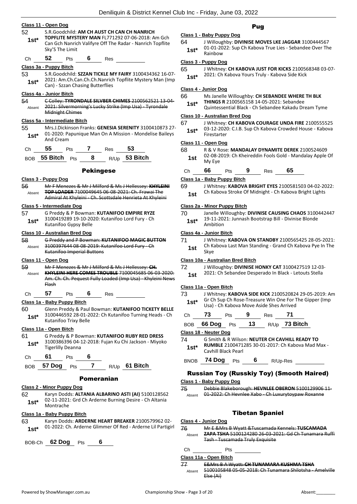#### **Class 11 - Open Dog** 52 S.R.Goodchild: **AM CH AUST CH CAN CH NANRICH**

| JZ<br>$1st*$           | 3.8.90000.000 AM CHAOST CH CAN CH NANNCH<br><b>TOPFLITE MYSTERY MAN FL771292 07-06-2018: Am Gch</b><br>Can Gch Nanrich Valifyre Off The Radar - Nanrich Topflite<br>Sky'S The Limit |                                  |  |                                                                                                                   |  |  |
|------------------------|-------------------------------------------------------------------------------------------------------------------------------------------------------------------------------------|----------------------------------|--|-------------------------------------------------------------------------------------------------------------------|--|--|
| Ch                     | 52                                                                                                                                                                                  | <b>Pts</b>                       |  | Res                                                                                                               |  |  |
| Class 3a - Puppy Bitch |                                                                                                                                                                                     |                                  |  |                                                                                                                   |  |  |
| 53<br>$1st^*$          |                                                                                                                                                                                     | Can) - Szzan Chasing Butterflies |  | S.R.Goodchild: SZZAN TICKLE MY FAIRY 3100434362 16-07-<br>2021: Am.Ch.Can.Ch.Ch.Nanrich Topflite Mystery Man (Imp |  |  |

#### **Class 4a - Junior Bitch**

54 C Colley: **TYRONDALE SILVBER CHIMES** 2100562521 13-04- 2021: Silvermorning's Lucky Strike (Imp Usa) - Tyrondale Midnight Chimes Absent

# **Class 5a - Intermediate Bitch**

55 Mrs.J.Dickinson Franks: **GENESIA SERENITY** 3100410873 27- 01-2020: Papunique Man On A Mission - Mondelise Baileys And Cream **1st\***

|  | Ch | 55 | Pts |  | Res | 53 |
|--|----|----|-----|--|-----|----|
|--|----|----|-----|--|-----|----|



# Pekingese

# **Class 3 - Puppy Dog**

56 Mr F Menezes & Mr J Milford & Ms J Hellessey: **KHYLEINI TOP LOADER** 7100049645 06-08-2021: Ch. Frawai The Admiral At Khyleini - Ch. Scottsdale Henrieta At Khyleini Absent

# **Class 5 - Intermediate Dog**

57 G Preddy & P Bowman: **KUTANIFOO EMPIRE RYZE** 3100419289 19-10-2020: Kutanifoo Lord Fury - Ch Kutanifoo Gypsy Belle **1st\***

# **Class 10 - Australian Bred Dog**

| 58     | G Preddy and P Bowman: KUTANIFOO MAGIC BUTTON |
|--------|-----------------------------------------------|
| Absent | 3100397644 08 08 2019: Kutanifoo Lord Fury Ch |
|        | Kutanifoo Imperial Buttons                    |

# **Class 11 - Open Dog**

59 Mr F Menezes & Mr J Milford & Ms J Hellessey: **CH. KHYLEINI HERE COMES TROUBLE** 7100045685 06-03-2020: Am. Ch. Ch. Pequest Fully Loaded (Imp Usa) - Khyleini News Flash Absent

Ch **57** Pts **6** Res

**Class 1a - Baby Puppy Bitch**

60 Glenn Preddy & Paul Bowman: **KUTANIFOO TICKETY BELLE** 3100446592 28-01-2022: Ch Kutanifoo Turning Heads - Ch Kutanifoo Trixy Belle **1st\***

# **Class 11a - Open Bitch**

61 G Preddy & P Bowman: **KUTANIFOO RUBY RED DRESS** 3100386396 04-12-2018: Fujan Ku Chi Jackson - Miyoko 1st\* <sup>3100386396</sup><br>Tigerlilly Deanna

| .n<br>$\sim$ | $\sim$ |  |
|--------------|--------|--|
|              |        |  |

```
BOB 57 Dog Pts 7 R/Up 61 Bitch
```
# Pomeranian

# **Class 2 - Minor Puppy Dog**

62 Karyn Dodds: **ALTANIA ALBARINO ASTI (AI)** 5100128562 02-11-2021: Grd Ch Arderne Burning Desire - Ch Altania Montrache **1st\***

# **Class 1a - Baby Puppy Bitch**

63 Karyn Dodds: **ARDERNE HEART BREAKER** 2100579962 02- 01-2022: Ch. Arderne Glimmer Of Red - Arderne Lil Partigirl **1st\***

BOB-Ch **62 Dog** Pts **6**

# Pug

# **Class 1 - Baby Puppy Dog**

64 J Willoughby: **DIVINISE MOVES LKE JAGGAR** 3100444567 01-01-2022: Sup Ch Kabova True Lies - Sebandee Over The **1st**\*  $\frac{01-01-20}{\text{Rainbow}}$ 

# **Class 3 - Puppy Dog**

- 65 J Whitney: **CH KABOVA JUST FOR KICKS** 2100568348 03-07-
	- 1st\* 2021: Ch Kabova Yours Truly Kabova Side Kick

# **Class 4 - Junior Dog**

- 66 Ms Janelle Willoughby: **CH SEBANDEE WHERE TH BLK**
- **THINGS R** 2100565158 14-05-2021: Sebandee
- Quintessential Black Ch Sebandee Kakadu Dream Tyme **1st\***

# **Class 10 - Australian Bred Dog**

67 J Whitney: **CH KABOVA COURAGE UNDA FIRE** 2100555525 03-12-2020: C.I.B. Sup Ch Kabova Crowded House - Kabova Firestarter **1st\***

#### **Class 11 - Open Dog**

- 68 R & V Rose: **MANDALAY DYNAMITE DEREK** 2100524609 02-08-2019: Ch Kheireddin Fools Gold - Mandalay Apple Of 1st U<sup>2-U8-2</sup><br>My Eve
- Ch **66** Pts **9** Res **65**

# **Class 1a - Baby Puppy Bitch**

69 J Whitney: **KABOVA BRIGHT EYES** 2100581503 04-02-2022: Ch Kabova Stroke Of Midnight - Ch Kabova Bright Lights **1st**

# **Class 2a - Minor Puppy Bitch**

70 Janelle Willoughby: **DIVINISE CAUSING CHAOS** 3100442447 19-11-2021: Junnash Bootstrap Bill - Divinise Blonde Ambition **1st\***

# **Class 4a - Junior Bitch**

71 J Whitney: **KABOVA ON STANDBY** 2100565425 28-05-2021: Ch Kabova Last Man Standing - Grand Ch Kabova Pye In The 1st Skye

# **Class 10a - Australian Bred Bitch**

- 72 J Willoughby: **DIVINISE HONKY CAT** 3100427519 12-03-
	- 1st 2021: Ch Sebandee Desperado In Black Letouts Stella

# **Class 11a - Open Bitch**

- 73 J Whitney: **KABOVA SIDE KICK** 2100520824 29-05-2019: Am Gr Ch Sup Ch Rose-Treasure Win One For The Gipper (Imp Usa) - Ch Kabova Move Aside Shes Arrived **1st\***
- Ch **73** Pts **9** Res **71**

| BOB 66 Dog Pts 13 R/Up 73 Bitch |  |  |
|---------------------------------|--|--|
|                                 |  |  |

# **Class 18 - Neuter Dog**

74 G Smith & R Wilson: **NEUTER CH CAVHILL READY TO RUMBLE** 2100471285 30-01-2017: Ch Kabova Mad Max - 1st\* **RUWBLE 2100471**<br>**Cavhill Black Pearl** 

BNOB **74 Dog** Pts **6** R/Up-Res

# Russian Toy (Russkiy Toy) (Smooth Haired)

# **Class 1 - Baby Puppy Dog**

75 Debbie Blakeborough: **HEVNLEE OBERON** 5100129906 11- Absent 01-2022: Ch Hevnlee Xabo - Ch Luxurytoypaw Roxanne

# Tibetan Spaniel

# **Class 4 - Junior Dog**

- 76 Mr E &Mrs B Wyatt &Tuscamada Kennels: **TUSCAMADA ZAPA TSHA** 5100124280 26-03-2021: Gd Ch Tunamara Ruffi Absent
	- Tash Tuscamada Truly Exquisite

# Ch Pts

# **Class 11a - Open Bitch**

77 E&Mrs B A Wyatt: **CH TUNAMARA KUSHMA TSHA** 5100105848 05-05-2018: Ch Tunamara Shilotsha - Amelville Else (Ai) Absent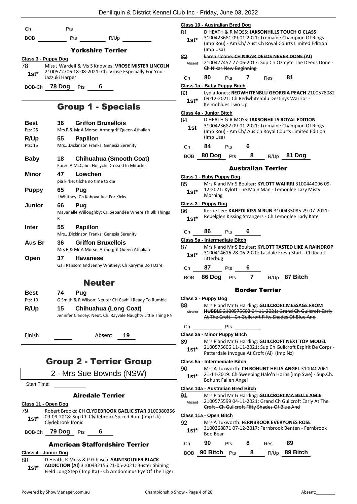| Pts R/Up                                                                                                                                                         | 81                                                                                                                                                                                                                                                                                                                                                                                          |        |                                       |                                                                                                                                                                                                                                                                                                                                                                                                                                                                                                                                                                                                                                                                                                                                                                                                                                                                                                                                     |
|------------------------------------------------------------------------------------------------------------------------------------------------------------------|---------------------------------------------------------------------------------------------------------------------------------------------------------------------------------------------------------------------------------------------------------------------------------------------------------------------------------------------------------------------------------------------|--------|---------------------------------------|-------------------------------------------------------------------------------------------------------------------------------------------------------------------------------------------------------------------------------------------------------------------------------------------------------------------------------------------------------------------------------------------------------------------------------------------------------------------------------------------------------------------------------------------------------------------------------------------------------------------------------------------------------------------------------------------------------------------------------------------------------------------------------------------------------------------------------------------------------------------------------------------------------------------------------------|
|                                                                                                                                                                  | 82<br>Absent                                                                                                                                                                                                                                                                                                                                                                                |        |                                       |                                                                                                                                                                                                                                                                                                                                                                                                                                                                                                                                                                                                                                                                                                                                                                                                                                                                                                                                     |
|                                                                                                                                                                  | Ch                                                                                                                                                                                                                                                                                                                                                                                          | 80     | Pts                                   | 7                                                                                                                                                                                                                                                                                                                                                                                                                                                                                                                                                                                                                                                                                                                                                                                                                                                                                                                                   |
|                                                                                                                                                                  | 83                                                                                                                                                                                                                                                                                                                                                                                          |        |                                       |                                                                                                                                                                                                                                                                                                                                                                                                                                                                                                                                                                                                                                                                                                                                                                                                                                                                                                                                     |
| <b>Griffon Bruxellois</b><br>36<br>Mrs R & Mr A Morse: Armorgrif Queen Athaliah                                                                                  | 84.<br>1st                                                                                                                                                                                                                                                                                                                                                                                  |        |                                       |                                                                                                                                                                                                                                                                                                                                                                                                                                                                                                                                                                                                                                                                                                                                                                                                                                                                                                                                     |
| Mrs.J.Dickinson Franks: Genesia Serenity                                                                                                                         |                                                                                                                                                                                                                                                                                                                                                                                             |        |                                       |                                                                                                                                                                                                                                                                                                                                                                                                                                                                                                                                                                                                                                                                                                                                                                                                                                                                                                                                     |
|                                                                                                                                                                  |                                                                                                                                                                                                                                                                                                                                                                                             |        | Pts                                   |                                                                                                                                                                                                                                                                                                                                                                                                                                                                                                                                                                                                                                                                                                                                                                                                                                                                                                                                     |
| Karen A McCabe: Hollychi Dressed In Miracles                                                                                                                     |                                                                                                                                                                                                                                                                                                                                                                                             |        |                                       | <b>Austral</b>                                                                                                                                                                                                                                                                                                                                                                                                                                                                                                                                                                                                                                                                                                                                                                                                                                                                                                                      |
| 47<br>Lowchen<br>pia kirke: tilcha no time to die<br>65<br>Pug                                                                                                   | 85<br>1st*                                                                                                                                                                                                                                                                                                                                                                                  |        |                                       |                                                                                                                                                                                                                                                                                                                                                                                                                                                                                                                                                                                                                                                                                                                                                                                                                                                                                                                                     |
| 66<br>Pug<br>Ms Janelle Willoughby: CH Sebandee Where Th Blk Things<br>R                                                                                         | 86<br>$1st*$                                                                                                                                                                                                                                                                                                                                                                                |        |                                       |                                                                                                                                                                                                                                                                                                                                                                                                                                                                                                                                                                                                                                                                                                                                                                                                                                                                                                                                     |
| 55<br><b>Papillon</b><br>Mrs.J.Dickinson Franks: Genesia Serenity                                                                                                | Ch                                                                                                                                                                                                                                                                                                                                                                                          | 86     | <b>Pts</b>                            | 6                                                                                                                                                                                                                                                                                                                                                                                                                                                                                                                                                                                                                                                                                                                                                                                                                                                                                                                                   |
| <b>36</b><br><b>Griffon Bruxellois</b><br>Mrs R & Mr A Morse: Armorgrif Queen Athaliah<br>37<br><b>Havanese</b>                                                  | 87                                                                                                                                                                                                                                                                                                                                                                                          |        |                                       |                                                                                                                                                                                                                                                                                                                                                                                                                                                                                                                                                                                                                                                                                                                                                                                                                                                                                                                                     |
| Gail Ransom and Jenny Whitney: Ch Karyme Do I Dare                                                                                                               | Ch                                                                                                                                                                                                                                                                                                                                                                                          | 87     |                                       | 6                                                                                                                                                                                                                                                                                                                                                                                                                                                                                                                                                                                                                                                                                                                                                                                                                                                                                                                                   |
|                                                                                                                                                                  | BOB                                                                                                                                                                                                                                                                                                                                                                                         | 86 Dog | Pts                                   |                                                                                                                                                                                                                                                                                                                                                                                                                                                                                                                                                                                                                                                                                                                                                                                                                                                                                                                                     |
| 74<br>Pug<br>G Smith & R Wilson: Neuter CH Cavhill Ready To Rumble<br>15<br>Chihuahua (Long Coat)<br>Jennifer Clancey: Neut. Ch. Rayvale Naughty Little Thing RN | 88<br>Absent                                                                                                                                                                                                                                                                                                                                                                                |        |                                       | <b>Bord</b>                                                                                                                                                                                                                                                                                                                                                                                                                                                                                                                                                                                                                                                                                                                                                                                                                                                                                                                         |
| 19<br>Absent                                                                                                                                                     | Ch                                                                                                                                                                                                                                                                                                                                                                                          |        | Pts                                   |                                                                                                                                                                                                                                                                                                                                                                                                                                                                                                                                                                                                                                                                                                                                                                                                                                                                                                                                     |
|                                                                                                                                                                  | <b>BOB Example</b><br><b>Yorkshire Terrier</b><br>Class 3 - Puppy Dog<br>Miss J Wardell & Ms S Knowles: <b>VROSE MISTER LINCOLN</b><br>2100572706 18-08-2021: Ch. Vrose Especially For You -<br>Jazzuki Harper<br>BOB-Ch 78 Dog Pts 6<br><b>Group 1 - Specials</b><br>55<br><b>Papillon</b><br>18<br><b>Chihuahua (Smooth Coat)</b><br>J Whitney: Ch Kabova Just For Kicks<br><b>Neuter</b> |        | $1st^*$<br>$1st^*$<br>Ch $84$<br>1st* | Deniliquin & District Kennel Club Inc - Friday, June 03, 20<br>Class 10 - Australian Bred Dog<br>D HEATH & R MOSS: J<br>3100423681 09-01-20<br>(Imp Rou) - Am Ch/ Au<br>(Imp Usa)<br>karen sloane: CH NIK/<br>2100477457 27-06-20<br>Ch Nikar New Beginni<br>Class 1a - Baby Puppy Bitch<br>Lydia Jones: REDWHIT<br>09-12-2021: Ch Redwl<br>Kelmoblues Two Up<br>Class 4a - Junior Bitch<br>D HEATH & R MOSS: J<br>3100423682 09-01-20<br>(Imp Rou) - Am Ch/ Au<br>(Imp Usa)<br>Pts 6<br>BOB 80 Dog<br>Class 1 - Baby Puppy Dog<br>Mrs K and Mr S Boulte<br>12-2021: Kylott The M<br>Morning<br>Class 3 - Puppy Dog<br>Kerrie Lee: KAHEDI KI<br>Rebelglen Kissing Stra<br>Class 5a - Intermediate Bitch<br>Mrs K and Mr S Boulte<br>3100414616 28-06-20<br>Jitterbug<br><b>Pts</b><br>Class 3 - Puppy Dog<br><del>Mrs P and Mr G Hardi</del><br><b>HUBBLE 2100575602</b><br>At The Croft - Ch Guilc<br>Class 2a - Minor Puppy Bitch |

# Group 2 - Terrier Group

2 - Mrs Sue Bownds (NSW)

Start Time:

# Airedale Terrier

# **Class 11 - Open Dog**

79 Robert Brooks: **CH CLYDEBROOK GAELIC STAR** 3100380356 09-09-2018: Sup Ch Clydebrook Spiced Rum (Imp Uk) - 1st<sup>\*</sup> 09-09-2018: Sup C<br>Clydebrook Ironic

BOB-Ch **79 Dog** Pts **6**

# American Staffordshire Terrier

# **Class 4 - Junior Dog**

80 D Heath, R Moss & P Giblisco: **SAINTSOLDIER BLACK ADDICTION (AI)** 3100432156 21-05-2021: Buster Shining **1st\*** ADDICTION (AI) 3100432156 21-05-2021: Buster Shining<br>Field Long Step (Imp Ita) - Ch Amdominus Eye Of The Tiger

| $1st*$        | (Imp Usa)                     |     |                       |                           | 3100423681 09-01-2021: Tremaine Champion Of Rings<br>(Imp Rou) - Am Ch/ Aust Ch Royal Courts Limited Edition                                                          |
|---------------|-------------------------------|-----|-----------------------|---------------------------|-----------------------------------------------------------------------------------------------------------------------------------------------------------------------|
| 82<br>Absent  | <b>Ch Nikar New Beginning</b> |     |                       |                           | karen sloane: CH NIKAR DEEDS NEVER DONE (AI)<br>2100477457 27-06-2017: Sup Ch Ozmyte The Deeds Done                                                                   |
| Сh            | 80                            | Pts | 7                     | Res                       | 81                                                                                                                                                                    |
|               | Class 1a - Baby Puppy Bitch   |     |                       |                           |                                                                                                                                                                       |
| 83<br>$1st*$  | Kelmoblues Two Up             |     |                       |                           | Lydia Jones: REDWHITENBLU GEORGIA PEACH 2100578082<br>09-12-2021: Ch Redwhitenblu Destinys Warrior -                                                                  |
|               | Class 4a - Junior Bitch       |     |                       |                           |                                                                                                                                                                       |
| 84<br>1st     | (Imp Usa)                     |     |                       |                           | <b>D HEATH &amp; R MOSS: JAKSONHILLS ROYAL EDITION</b><br>3100423682 09-01-2021: Tremaine Champion Of Rings<br>(Imp Rou) - Am Ch/ Aus Ch Royal Courts Limited Edition |
| Сh            | 84                            | Pts | 6                     |                           |                                                                                                                                                                       |
| <b>BOB</b>    | 80 Dog                        | Pts | 8                     | R/Up                      | 81 Dog                                                                                                                                                                |
|               |                               |     |                       | <b>Australian Terrier</b> |                                                                                                                                                                       |
|               | Class 1 - Baby Puppy Dog      |     |                       |                           |                                                                                                                                                                       |
| 85<br>$1st*$  | Morning                       |     |                       |                           | Mrs K and Mr S Boulter: KYLOTT WAIIRRI 3100444096 09-<br>12-2021: Kylott The Main Man - Lemonlee Lazy Misty                                                           |
|               | Class 3 - Puppy Dog           |     |                       |                           |                                                                                                                                                                       |
| 86<br>$1st*$  |                               |     |                       |                           | Kerrie Lee: KAHEDI KISS N RUN 3100435085 29-07-2021:<br>Rebelglen Kissing Strangers - Ch Lemonlee Lady Kate                                                           |
| Сh            | 86                            | Pts | 6                     |                           |                                                                                                                                                                       |
|               | Class 5a - Intermediate Bitch |     |                       |                           |                                                                                                                                                                       |
| 87<br>$1st^*$ | Jitterbug                     |     |                       |                           | Mrs K and Mr S Boulter: KYLOTT TASTED LIKE A RAINDROP<br>3100414616 28-06-2020: Tasdale Fresh Start - Ch Kylott                                                       |
| Сh            | 87                            | Pts | 6                     |                           |                                                                                                                                                                       |
| <b>BOB</b>    | 86 Dog                        | Pts | 7                     | R/Up                      | 87 Bitch                                                                                                                                                              |
|               |                               |     | <b>Border Terrier</b> |                           |                                                                                                                                                                       |

81 D HEATH & R MOSS: **JAKSONHILLS TOUCH O CLASS**

|               | Class 3 - Puppy Dog                                                                                                                                              |  |  |  |
|---------------|------------------------------------------------------------------------------------------------------------------------------------------------------------------|--|--|--|
| 88<br>Absent  | Mrs P and Mr G Harding: GUILCROFT MESSAGE FROM<br>HUBBLE 2100575602 04-11-2021: Grand Ch Guilcroft Early<br>At The Croft - Ch Guilcroft Fifty Shades Of Blue And |  |  |  |
| Ch            | Pts                                                                                                                                                              |  |  |  |
|               | Class 2a - Minor Puppy Bitch                                                                                                                                     |  |  |  |
| 89<br>1st*    | Mrs P and Mr G Harding: GUILCROFT NEXT TOP MODEL<br>2100575606 11-11-2021: Sup Ch Guilcroft Espirit De Corps -<br>Patterdale Invogue At Croft (Ai) (Imp Nz)      |  |  |  |
|               | Class 5a - Intermediate Bitch                                                                                                                                    |  |  |  |
| 90<br>$1st^*$ | Mrs A Tuxworth: CH BOHUNT HELLS ANGEL 3100402061<br>21-11-2019: Ch Sweeping Halo'n Horns (Imp Swe) - Sup.Ch.<br><b>Bohunt Fallen Angel</b>                       |  |  |  |
|               | Class 10a - Australian Bred Bitch                                                                                                                                |  |  |  |
| 91<br>Ahsent  | Mrs P and Mr G Harding: GUILCROFT MA BELLE AMIE<br>2100575599 04-11-2021: Grand Ch Guilcroft Early At The<br>Croft Ch Guilcroft Fifty Shades Of Blue And         |  |  |  |
|               | Class 11a - Open Bitch                                                                                                                                           |  |  |  |
| 92<br>$1st^*$ | Mrs A Tuxworth: FERNBROOK EVERYONES ROSE<br>3100368871 07-12-2017: Fernbrook Benten - Fernbrook<br>Boo Bear                                                      |  |  |  |
| Сh            | 90<br>8.<br>89<br>Pts<br>Res                                                                                                                                     |  |  |  |
| <b>BOB</b>    | 90 Bitch<br>8<br>89 Bitch<br>Pts<br>R/Up                                                                                                                         |  |  |  |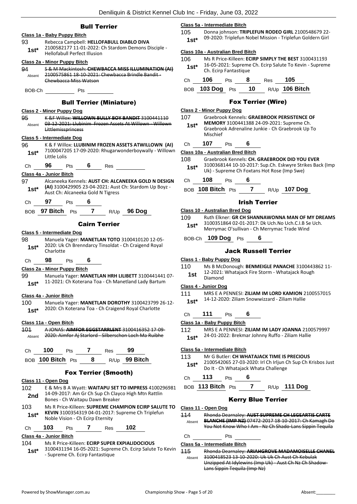# Bull Terrier

# **Class 1a - Baby Puppy Bitch** 93 Rebecca Campbell: **HELLOFABULL DIABLO DIVA** 2100582177 11-01-2022: Ch Stardom Demons Disciple - Hellofabull Perfect Illusion **1st\* Class 2a - Minor Puppy Bitch** 94 S & M Mackintosh: **CHEWBACCA MISS ILLUMINATION (AI)** 2100575861 18-10-2021: Chewbacca Brindle Bandit - Chewbacca Miss Watson Absent BOB-Ch Pts Bull Terrier (Miniature) **Class 2 - Minor Puppy Dog** 95 K &F Willox: **WILLOWN BULLY BOY BANDIT** 3100441110 03-12-2021: Llubinim Frozen Assets At Willown - Willown Littlemissprincess Absent **Class 5 - Intermediate Dog** 96 K & F Willox: **LLUBINIM FROZEN ASSETS ATWILLOWN (AI)** 7100047205 17-09-2020: Rhugarwonderboywally - Willown Little Lolis **1st\*** Ch **96** Pts **6** Res **Class 4a - Junior Bitch** 97 Alcaneeka Kennels: **AUST CH: ALCANEEKA GOLD N DESIGN (AI)** 3100429905 23-04-2021: Aust Ch: Stardom Up Boyz - 1st\* **Austic Ch: Australian Chemissipe Chemissipe Chemissipe Australian Australian Australian Australian Australian Australian Australian Australian Australian Australian Australian Australian Australian Australian Austral** Ch **97** Pts **6** BOB **97 Bitch** Pts **7** R/Up **96 Dog** Cairn Terrier **Class 5 - Intermediate Dog** 98 Manuela Yager: **MANETLAN TOTO** 3100410120 12-05- 2020: Uk Ch Brenndarcy Tinsoldat - Ch Craigend Royal 1st<sup>\*</sup> <sup>2020: UK</sup><br>Charlotte Ch **98** Pts **6 Class 2a - Minor Puppy Bitch** 99 Manuela Yager: **MANETLAN HRH LILIBETT** 3100441441 07- 1st\* 11-2021: Ch Koterana Toa - Ch Manetland Lady Bartum **Class 4a - Junior Bitch** 100 Manuela Yager: **MANETLAN DOROTHY** 3100423799 26-12- 1st\* 2020: Ch Koterana Toa - Ch Craigend Royal Charlotte **Class 11a - Open Bitch** 101 A JONAS: **AIMFOR EGGSTARRLENT** 3100416352 17-09- Absent 2020: Aimfor Aj Starlord - Silberschon Loch Ma Ruibhe Ch **100** Pts **7** Res **99** BOB **100 Bitch** Pts **8** R/Up **99 Bitch** Fox Terrier (Smooth) **Class 11 - Open Dog** 102 E & Mrs B A Wyatt: **WAITAPU SET TO IMPRESS** 4100296981 14-09-2017: Am Gr Ch Sup Ch Clayco High Mtn Rattlin **2nd** I<sup>4-09-2017: Am Gr Ch Sup Ch Clay<br>Bones - Ch Waitapu Dawn Breaker</sup> 103 Ms R Price-Killeen: **SUPREME CHAMPION ECIRP SALUTE TO KEVIN** 3100354319 04-01-2017: Supreme Ch Triplefun Noble Vision - Ch Ecirp Eternity **1st\*** Ch **103** Pts **7** Res **102 Class 4a - Junior Bitch** 104 Ms R Price-Killeen: **ECIRP SUPER EXPIALIDOCIOUS**

3100431194 16-05-2021: Supreme Ch. Ecirp Salute To Kevin - Supreme Ch. Ecirp Fantastique **1st\***

# **Class 5a - Intermediate Bitch**

105 Donna johnson: **TRIPLEFUN RODEO GIRL** 2100548679 22- 09-2020: Triplefun Nobel Mission - Triplefun Goldern Girl **1st\***

# **Class 10a - Australian Bred Bitch**

- 106 Ms R Price-Killeen: **ECIRP SIMPLY THE BEST** 3100431193
	- 16-05-2021: Supreme Ch. Ecirp Salute To Kevin Supreme Ch. Ecirp Fantastique **1st\***

| Ch | 106                | <b>Pts</b> | - 8 | Res | 105              |
|----|--------------------|------------|-----|-----|------------------|
|    | BOB 103 Dog Pts 10 |            |     |     | $R/Up$ 106 Bitch |

# Fox Terrier (Wire)

# **Class 2 - Minor Puppy Dog**

107 Graebrook Kennels: **GRAEBROOK PERSISTENCE OF** 

**MEMORY** 3100441388 24-09-2021: Supreme Ch. Graebrook Adrenaline Junkie - Ch Graebrook Up To Mischief **1st\***

# Ch **107** Pts **6**

# **Class 10a - Australian Bred Bitch**

- 108 Graebrook Kennels: **CH. GRAEBROOK DID YOU EVER**
- 3100368144 10-10-2017: Sup.Ch. Eskwyre Strikes Back (Imp Uk) - Supreme Ch Foxtans Hot Rose (Imp Swe) **1st\***

Ch **108** Pts **6**

BOB **108 Bitch** Pts **7** R/Up **107 Dog**

# Irish Terrier

|            | Class 10 - Australian Bred Dog    |
|------------|-----------------------------------|
| $\sqrt{2}$ | $D$ LE FII  OD OLL CLIANINIA VALO |

- 109 Ruth Elkner: **GR CH SHANNAWONNA MAN OF MY DREAMS** 3100351864 02-01-2017: Dk Uch.No Uch.C.I.B Se Uch. Merrymac O'sullivan - Ch Merrymac Trade Wind **1st\***
- BOB-Ch **109 Dog** Pts **6**

# Jack Russell Terrier

- **Class 1 - Baby Puppy Dog**
- 110 Ms B McDonough: **BENMEIGLE PANACHE** 3100443862 11-
- 12-2021: Whatajack Fire Storm Whatajack Rough  $1$ st  $\frac{12 - 2021}{\text{Diamond}}$

# **Class 4 - Junior Dog**

# Ch **111** Pts **6**

- **Class 1a - Baby Puppy Bitch**
- 112 MRS E A PENNESI: **ZILIAM IM LADY JOANNA** 2100579997 24-01-2022: Brekmar Johnny Ruffo - Ziliam Hallie **1st\***

# **Class 5a - Intermediate Bitch**

113 Mr G Butler: **CH WHATAJACK TIME IS PRECIOUS** 2100542065 27-03-2020: Irl Ch Irljun Ch Sup Ch Krisbos Just 1st\* 2100542065 27-03-2020: Irl Ch Irljun C<br>Do It - Ch Whatajack Whata Challenge

- Ch **113** Pts **6**
- BOB **113 Bitch** Pts **7** R/Up **111 Dog**

# Kerry Blue Terrier

**Class 11 - Open Dog**

114 Rhonda Dearnaley: **AUST SUPREME CH LEGEARTIS CARTE BLANCHE (IMP NZ)** 07472-2017 18-10-2017: Ch Kamagh Do You Not Know Who I Am - Nz Ch Shado-Lans Sippin Tequila Absent

Ch Pts

# **Class 5a - Intermediate Bitch**

115 Rhonda Dearnaley: **ARIAHGROVE MADAMOISELLE CHANEL** 3100418523 13-10-2020: Uk Uk Ch Aust Ch Kebulak Unzipped At Idylewins (Imp Uk) - Aust Ch Nz Ch Shadow-Lans Sippin Tequila (Imp Nz) Absent

<sup>111</sup> MRS E A PENNESI: **ZILIAM IM LORD KAMION** 2100557015 14-12-2020: Ziliam Snowwizzard - Ziliam Hallie **1st\***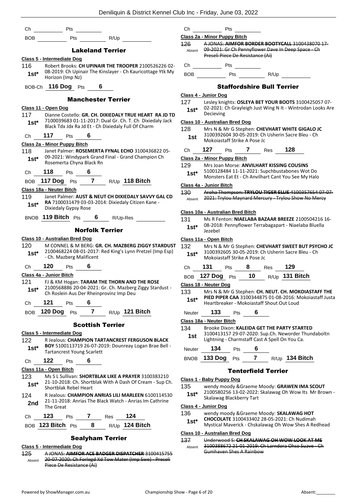| Ch         | Pts                                                                                                             | Сh                  |
|------------|-----------------------------------------------------------------------------------------------------------------|---------------------|
| BOB.       | R/Up<br>Pts                                                                                                     | Clas<br>126         |
|            | <b>Lakeland Terrier</b>                                                                                         | Ab                  |
|            | Class 5 - Intermediate Dog                                                                                      |                     |
| 116.       | Robert Brooks: CH UPINAIR THE TROOPER 2100526226 02-                                                            | Ch                  |
| $1st*$     | 08-2019: Ch Upinair The Kinslayer - Ch Kauricottage Ytk My<br>Horizon (Imp Nz)                                  | BО                  |
|            |                                                                                                                 |                     |
|            | BOB-Ch 116 Dog Pts 6                                                                                            |                     |
|            | <b>Manchester Terrier</b>                                                                                       | <u>Clas</u><br>127  |
|            | Class 11 - Open Dog                                                                                             | $\mathbf{1}$        |
| 117        | Dianne Costello: GR. CH. DIXIEDALY TRUE HEART RA JD TD                                                          |                     |
| $1st*$     | 7100039683 01-11-2017: Dual Gr. Ch. T. Ch Dixiedaly Jack<br>Black Tdx Jdx Ra Jd Et - Ch Dixiedaly Full Of Charm | Clas                |
|            | 117<br>6                                                                                                        | 128                 |
| Ch         | <b>Pts</b>                                                                                                      | 1                   |
| 118        | Class 2a - Minor Puppy Bitch<br>Janet Palmer: ROSEMERTA FYNAL ECHO 3100436822 05-                               | Ch                  |
| $1st*$     | 09-2021: Windypark Grand Final - Grand Champion Ch                                                              | Clas                |
|            | Rosemerta Chyna Black Rn                                                                                        | 129                 |
| Ch         | 118<br>$\overline{\phantom{a}}$ 6<br><b>Pts</b>                                                                 | $\mathbf{1}$        |
|            | BOB 117 Dog Pts 7 R/Up 118 Bitch                                                                                |                     |
|            | Class 18a - Neuter Bitch                                                                                        | Clas                |
| 119        | Janet Palmer: AUST & NEUT CH DIXIEDALY SAVVY GAL CD                                                             | 130<br>Ab           |
| 1st*       | RA 7100031479 03-03-2014: Dixiedaly Citizen Kane -                                                              |                     |
|            | Dixiedaly Gypsy Rose                                                                                            | <b>Clas</b>         |
|            | BNOB 119 Bitch Pts 6 R/Up-Res                                                                                   | 131                 |
|            | <b>Norfolk Terrier</b>                                                                                          | $\mathbf{1}$        |
|            | <b>Class 10 - Australian Bred Dog</b>                                                                           | Clas                |
| 120        | M CONNEL & M BERG: GR. CH. MAZBERG ZIGGY STARDUST                                                               | 132                 |
| $1st*$     | 2100468224 08-01-2017: Red King's Lynn Pretzel (Imp Esp)<br>- Ch. Mazberg Malificent                            | $\mathbf{1}$        |
|            | 120<br>Pts $\overline{\mathbf{6}}$                                                                              |                     |
| Ch         |                                                                                                                 | Сh                  |
| 121        | Class 4a - Junior Bitch<br>FJ & KM Hogan: TARAM THE THORN AND THE ROSE                                          | BО                  |
| 1st*       | 2100568886 20-04-2021: Gr. Ch. Mazberg Ziggy Stardust -                                                         | Clas                |
|            | Ch Roslein Aus Der Rheinprovinz Imp Deu                                                                         | 133                 |
| Ch         | 121<br>6<br>Pts                                                                                                 | 1                   |
| <b>BOB</b> | $\overline{7}$<br><b>120 Dog</b><br>$R/Up$ 121 Bitch<br>Pts                                                     | Ne                  |
|            |                                                                                                                 | <u>Clas</u>         |
|            | <b>Scottish Terrier</b>                                                                                         | 134                 |
| 122        | Class 5 - Intermediate Dog<br>R Jealous: CHAMPION TARTANCREST FERGUSON BLACK                                    | 1                   |
| $1st^*$    | BOY 5100113719 26-07-2019: Dounreay Logan Brae Bell -                                                           |                     |
|            | <b>Tartancrest Young Scarlett</b>                                                                               | Ne                  |
| Ch         | 122<br>6<br>Pts                                                                                                 | ΒN                  |
|            | Class 11a - Open Bitch                                                                                          |                     |
| 123        | Ms S L Sullivan: SHORTBLAK LIKE A PRAYER 3100383210                                                             | <b>Clas</b>         |
| $1st*$     | 21-10-2018: Ch. Shortblak With A Dash Of Cream - Sup Ch.<br>Shortblak Rebel Heart                               | 135                 |
| 124        | R Jealous: CHAMPION ANRIAS LILI MARLEEN 6100114530                                                              | $\mathbf{1}$        |
| 2nd        | 21-11-2018: Anrias The Black Watch - Anrias Im Cathrine                                                         |                     |
|            | The Great                                                                                                       | <b>Clas</b>         |
| Ch         | 123<br>124<br>7<br>Pts<br>Res                                                                                   | 136<br>$\mathbf{1}$ |
|            | BOB 123 Bitch Pts<br>R/Up 124 Bitch<br>8                                                                        |                     |
|            |                                                                                                                 | Clas                |

# Sealyham Terrier

# **Class 5 - Intermediate Dog**

125 A JONAS: **AIMFOR ACE BADGER DISPATCHER** 3100415755 20-07-2020: Ch Forlegd Xd Tow Mater (Imp Swe) - Preseli Piece De Resistance (Ai) Absent

| Сh           | Pts                                   |                                                |      |                                                                                                                    |  |
|--------------|---------------------------------------|------------------------------------------------|------|--------------------------------------------------------------------------------------------------------------------|--|
|              | Class 2a - Minor Puppy Bitch          |                                                |      |                                                                                                                    |  |
|              |                                       | Preseli Piece De Resistance (Ai)               |      | 126 A JONAS: AIMFOR BORDER BOOTYCALL 3100438070 17-<br>Absent 09-2021: Gr Ch Pennyflower Dave In Deep Space - Ch   |  |
| Ch           | <b>Example 19 Pts</b>                 |                                                |      |                                                                                                                    |  |
| BOB.         | <b>Pts</b>                            |                                                | R/Up |                                                                                                                    |  |
|              |                                       | <b>Staffordshire Bull Terrier</b>              |      |                                                                                                                    |  |
|              | Class 4 - Junior Dog                  |                                                |      |                                                                                                                    |  |
| 127<br>1st*  | Decieving                             |                                                |      | Lesley knights: OSLEYA BET YOUR BOOTS 3100425057 07-<br>02-2021: Ch Grayleigh Just Wing N It - Wintrodan Looks Are |  |
|              | <b>Class 10 - Australian Bred Dog</b> |                                                |      |                                                                                                                    |  |
| 128 —<br>1st |                                       | Mokojastaff Strike A Pose Jc                   |      | Mrs N & Mr G Stephen: CHEVHART WHITE GIGALO JC<br>3100392604 30-05-2019: Ch Usherin Sacre Bleu - Ch                |  |
| Ch           | 127 Pts 7 Res 128                     |                                                |      |                                                                                                                    |  |
|              | Class 2a - Minor Puppy Bitch          |                                                |      |                                                                                                                    |  |
| 129          |                                       | Mrs Joan Morse: ANVILHART KISSING COUSINS      |      |                                                                                                                    |  |
| 1st*         |                                       |                                                |      | 5100128484 11-11-2021: Supchbustabones Wot Do<br>Monsters Eat Et - Ch Anvilhart Cant You See My Halo               |  |
|              | Class 4a - Junior Bitch               |                                                |      |                                                                                                                    |  |
| 130          |                                       |                                                |      | Aroha Thompson: TRYLOU TIGER ELLIE 4100357654 07-07-                                                               |  |
|              |                                       |                                                |      | Absent 2021: Trylou Maynard Mercury - Trylou Show No Mercy                                                         |  |
|              | Class 10a - Australian Bred Bitch     |                                                |      |                                                                                                                    |  |
| 131          |                                       |                                                |      | Ms R Fenton: NIAELABA BAZAAR BREEZE 2100504216 16-                                                                 |  |
| $1st^*$      | Jezebel                               |                                                |      | 08-2018: Pennyflower Terrabagapart - Niaelaba Bluella                                                              |  |
|              | <u> Class 11a - Open Bitch</u>        |                                                |      |                                                                                                                    |  |
| 132          |                                       |                                                |      | Mrs N & Mr G Stephen: CHEVHART SWEET BUT PSYCHO JC                                                                 |  |
| $1st^*$      |                                       | Mokojastaff Strike A Pose Jc                   |      | 3100392605 30-05-2019: Ch Usherin Sacre Bleu - Ch                                                                  |  |
| Ch           | <b>131</b> Pts 8 Res <b>129</b>       |                                                |      |                                                                                                                    |  |
|              | BOB 127 Dog Pts 10 R/Up 131 Bitch     |                                                |      |                                                                                                                    |  |
|              | Class 18 - Neuter Dog                 |                                                |      |                                                                                                                    |  |
|              |                                       |                                                |      | 133 Mrs N & Mr G Stephen: CH. NEUT. CH. MOKOIASTAFF THE                                                            |  |
| $1st^*$      |                                       | Heartbreaker - Mokoiastaff Shout Out Loud      |      | PIED PIPER CAA 3100344875 01-08-2016: Mokoiastaff Justa                                                            |  |
| Neuter       | 133                                   | $\overline{\phantom{0}}$ 6<br><b>Pts</b>       |      |                                                                                                                    |  |
|              | Class 18a - Neuter Bitch              |                                                |      |                                                                                                                    |  |
| 134          |                                       | Brooke Dixon: KALEIDA GET THE PARTY STARTED    |      | 3100413157 29-07-2020: Sup.Ch. Neworder Thundaboltn                                                                |  |
| 1st          |                                       | Lightning - Charmstaff Cast A Spell On You Ca. |      |                                                                                                                    |  |
| Neuter       | 134                                   | $\overline{\phantom{0}}$ 6<br>Pts              |      |                                                                                                                    |  |
| <b>BNOB</b>  | 133 Dog                               | $\overline{7}$<br>Pts                          |      | R/Up 134 Bitch                                                                                                     |  |
|              |                                       | <b>Tenterfield Terrier</b>                     |      |                                                                                                                    |  |

# **Class 1 - Baby Puppy Dog**

wendy moody &Graeme Moody: GRAWEN IMA SCOUT 2100580256 13-02-2022: Skalawag Oh Wow Its Mr Brown **st\*** 2100580256 13-02-2022:<br>**15t\*** Skalawag Blackberry Tart

# **Class 4 - Junior Dog**

- 136 wendy moody &Graeme Moody: **SKALAWAG HOT**
- **CHOCOLATE** 3100433402 28-05-2021: Ch Nudimah
- **st\*** CHOCOLATE 3100433402 28-05-2021: Ch Nudiman<br>Mystical Maverick Chskalawag Oh Wow Shes A Redhead

# **Class 10 - Australian Bred Dog**

137 Underwood S: **CH SKALAWAG OH WOW LOOK AT ME** 3100388672 21-01-2019: Ch Larndora Ohso Suave - Ch Gumhaven Shes A Rainbow Absent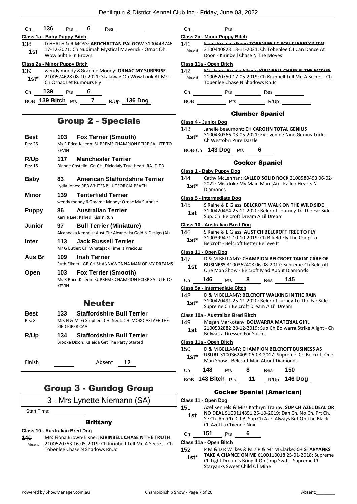| Ch         | 136                          | Pts                      | 6 | Res  |                                                                                                        |            |
|------------|------------------------------|--------------------------|---|------|--------------------------------------------------------------------------------------------------------|------------|
|            | Class 1a - Baby Puppy Bitch  |                          |   |      |                                                                                                        | Cla        |
| 138<br>1st |                              | Wow Subtle In Brown      |   |      | D HEATH & R MOSS: ARDCHATTAN PAI GOW 3100443746<br>17-12-2021: Ch Nudimah Mystical Maverick - Ornac Oh | 14         |
|            | Class 2a - Minor Puppy Bitch |                          |   |      |                                                                                                        | <u>Cla</u> |
| 139        |                              |                          |   |      | wendy moody & Graeme Moody: ORNAC MY SURPRISE                                                          | 14         |
| $1st*$     |                              | Ch Ornac Let Rumours Fly |   |      | 2100574628 08-10-2021: Skalawag Oh Wow Look At Mr -                                                    |            |
| Ch         | 139                          | Pts                      | 6 |      |                                                                                                        | C          |
|            | 139 Bitch                    | Pts                      |   | R/Up | 136 Doq                                                                                                | B          |

# Group 2 - Specials

| <b>Best</b>                | 103            | <b>Fox Terrier (Smooth)</b>                                                              |
|----------------------------|----------------|------------------------------------------------------------------------------------------|
| Pts: 25                    | <b>KEVIN</b>   | Ms R Price-Killeen: SUPREME CHAMPION ECIRP SALUTE TO                                     |
| R/Up                       | 117            | <b>Manchester Terrier</b>                                                                |
| Pts: 15                    |                | Dianne Costello: Gr. CH. Dixiedaly True Heart RA JD TD                                   |
| <b>Baby</b>                | 83             | <b>American Staffordshire Terrier</b>                                                    |
|                            |                | Lydia Jones: REDWHITENBLU GEORGIA PEACH                                                  |
| Minor                      | 139            | <b>Tenterfield Terrier</b><br>wendy moody & Graeme Moody: Ornac My Surprise              |
| <b>Puppy</b>               | 86             | <b>Australian Terrier</b>                                                                |
|                            |                | Kerrie Lee: Kahedi Kiss n Run                                                            |
| Junior                     | 97             | <b>Bull Terrier (Miniature)</b>                                                          |
|                            |                | Alcaneeka Kennels: Aust Ch: Alcaneeka Gold N Design (AI)                                 |
| Inter                      | 113.           | <b>Jack Russell Terrier</b>                                                              |
|                            |                | Mr G Butler: CH Whatajack Time is Precious                                               |
| Aus Br                     | 109            | <b>Irish Terrier</b><br>Ruth Elkner: GR CH SHANNAWONNA MAN OF MY DREAMS                  |
|                            |                |                                                                                          |
| Open                       | 103 -          | <b>Fox Terrier (Smooth)</b><br>Ms R Price-Killeen: SUPREME CHAMPION ECIRP SALUTE TO      |
|                            | <b>KEVIN</b>   |                                                                                          |
|                            |                | <b>Neuter</b>                                                                            |
|                            |                |                                                                                          |
| <b>Best</b><br>$P$ ts: $8$ | 133            | <b>Staffordshire Bull Terrier</b><br>Mrs N & Mr G Stephen: CH. Neut. CH. MOKOIASTAFF THE |
|                            | PIED PIPER CAA |                                                                                          |
| <b>R/Up</b>                | 134            | <b>Staffordshire Bull Terrier</b>                                                        |
|                            |                | Brooke Dixon: Kaleida Get The Party Started                                              |
|                            |                |                                                                                          |

# Group 3 - Gundog Group

Finish Absent **12**

3 - Mrs Lynette Niemann (SA)

Start Time:

# **Brittany**

# **Class 10 - Australian Bred Dog**

140 Mrs Fiona Brown-Elkner: **KIRINBELL CHASE N THE TRUTH** 2100520753 16-05-2019: Ch Kirinbell Tell Me A Secret - Ch Tobenlee Chase N Shadows Rn.Jc Absent

Ch Pts

# **Class 2a - Minor Puppy Bitch**

141 Fiona Brown-Elkner: **TOBENLEE I C YOU CLEARLY NOW** 3100440823 13-11-2021: Ch Tobenlee C I Can Dance At Doon - Kirinbell Chase N The Moves Absent

# **Class 11a - Open Bitch**

142 Mrs Fiona Brown-Elkner: **KIRINBELL CHASE N THE MOVES** 2100520750 17-05-2019: Ch Kirinbell Tell Me A Secret - Ch Tobenlee Chase N Shadows Rn.Jc Absent

Ch Pts Res

BOB Pts R/Up

# Clumber Spaniel

# **Class 4 - Junior Dog**

143 Janelle beaumont: **CH CAROHN TOTAL GENIUS** 3100430366 03-05-2021: Evinvenine Nine Genius Tricks - Ch Westobri Pure Dazzle **1st\***

# BOB-Ch **143 Dog** Pts **6**

# Cocker Spaniel

**Class 1 - Baby Puppy Dog** 144 Cathy McLennan: **KALLEO SOLID ROCK** 2100580493 06-02- 2022: Mistduke My Main Man (Ai) - Kalleo Hearts N 1st<sup>\*</sup> <sup>2022: Mist</sup><br>Diamonds

# **Class 5 - Intermediate Dog**

145 S Raine & E Glass: **BELCROFT WALK ON THE WILD SIDE** 3100420484 25-11-2020: Belcroft Journey To The Far Side - Sup. Ch. Belcroft Dream A Lil Dream **1st**

# **Class 10 - Australian Bred Dog**

| 146    | S Raine & E Glass: AUST CH BELCROFT FREE TO FLY   |
|--------|---------------------------------------------------|
| $1st*$ | 3100399471 10-10-2019: Ch Bifield Fly The Coop To |
|        | Belcroft - Belcroft Better Believe It             |

# **Class 11 - Open Dog**

147 D & M BELLAMY: **CHAMPION BELCROFT TAKIN' CARE OF BUSINESS** 3100362408 06-08-2017: Supreme Ch Belcroft **1st BUSINESS** 3100362408 06-08-2017: Supreme CI<br>One Man Show - Belcroft Mad About Diamonds

# Ch **146** Pts **8** Res **145**

# **Class 5a - Intermediate Bitch**

- 148 D & M BELLAMY: **BELCROFT WALKING IN THE RAIN** 3100420491 25-11-2020: Belcroft Jurney To The Far Side -
- Supreme Ch Belcroft Dream A Li'l Dream **1st\***

# **Class 10a - Australian Bred Bitch**

- 149 Megan Markotany: **BOLWARRA MATERIAL GIRL** 2100532882 28-12-2019: Sup Ch Bolwarra Strike Alight - Ch
	- **1st** 2100532882 28-12-2019: Sup<br>Bolwarra Dressed For Succes

# **Class 11a - Open Bitch**

- 150 D & M BELLAMY: **CHAMPION BELCROFT BUSINESS AS** 
	- **USUAL** 3100362409 06-08-2017: Supreme Ch Belcroft One Man Show - Belcroft Mad About Diamonds **1st\***

# Ch **148** Pts **8** Res **150**

BOB **148 Bitch** Pts **11** R/Up **146 Dog**

# Cocker Spaniel (American)

# **Class 11 - Open Dog**

151 Azel Kennels & Miss Kathryn Tranby: **SUP CH AZEL DEAL OR NO DEAL** 5100114851 25-10-2019: Dan Ch. No Ch. Prt Ch. Se Ch. Am Ch. C.I.B. Sup Ch Azel Always Bet On The Black - **1st**

Ch Azel La Chienne Noir

# Ch **151** Pts **6**

# **Class 11a - Open Bitch**

152 P M & D R Wilkes & Mrs P & Mr M Clarke: **CH STARYANKS** 

**TAKE A CHANCE ON ME** 6100110018 25-01-2018: Supreme Ch Light Dream's Bring It On (Imp Swd) - Supreme Ch Staryanks Sweet Child Of Mine **1st\***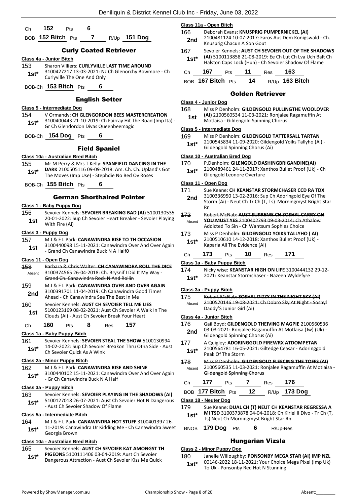- Ch **152** Pts **6**
- BOB **152 Bitch** Pts **7** R/Up **151 Dog**

# Curly Coated Retriever

# **Class 4a - Junior Bitch**

153 Sharon Villiers: **CURLYVILLE LAST TIME AROUND** 3100427217 13-03-2021: Nz Ch Glenorchy Bowmore - Ch Curlyville The One And Only **1st\***

BOB-Ch **153 Bitch** Pts **6**

# English Setter

# **Class 5 - Intermediate Dog**

- 154 V Ormandy: **CH GLENGORDON BEES MASTERCREATION**
- 3100400443 21-10-2019: Ch Fairray Hit The Road (Imp Ita) **1st** 3100400443 21-10-2019: Ch Fairray Hit I<br>Gr Ch Glendordon Divas Queenbeemagic
- BOB-Ch **154 Dog** Pts **6**

# Field Spaniel

# **Class 10a - Australian Bred Bitch**

- 155 Mr M Perry & Mrs T Kelly: **SPANFIELD DANCING IN THE DARK** 2100505116 09-09-2018: Am. Ch. Ch. Upland's Got **1st\*** DARK 2100505116 09-09-2018: Am. Ch. Ch. Uplar<br>The Moves (Imp Use) - Stephdie No Bed Ov Roses
- BOB-Ch **155 Bitch** Pts **6**

# German Shorthaired Pointer

# **Class 1 - Baby Puppy Dog**

156 Sevoier Kennels: **SEVOIER BREAKING BAD (AI)** 5100130535 20-01-2022: Sup Ch Sevoier Heart Breaker - Sevoier Playing With Fire (Ai) **1st**

# **Class 3 - Puppy Dog**

# 157 M J & F L Park: **CANAWINDRA RISE TO TH OCCASION**

3100440098 15-11-2021: Canawindra Over And Over Again - Grand Ch Canawindra Buck N A Half0 **1st**

# **Class 11 - Open Dog**

| 158    | Barbara & Chris Walter: CH CANAWINDRA ROLL THE DICE  |
|--------|------------------------------------------------------|
| Absent | 3100374565 26-04-2018: Ch. Brysnif I Did It My Way - |
|        | Grand Ch. Canawindra Rock N And Rollin               |
| 159    | M J & F L Park: CANAWINDRA OVER AND OVER AGAIN       |
| 2nd    | 3100391701 11-04-2019: Ch Canawindra Good Times      |
|        | Ahead - Ch Canawindra See The Best In Me             |

160 Sevoier Kennels: **AUST CH SEVOIER TELL ME LIES** 5100123169 08-02-2021: Aust Ch Sevoier A Walk In The **1st** 5100123169 08-02-2021: Aust Ch Sevoier A w<br>Clouds (Ai) - Aust Ch Sevoier Break Your Heart

Ch **160** Pts **8** Res **157**

# **Class 1a - Baby Puppy Bitch**

161 Sevoier Kennels: **SEVOIER STEAL THE SHOW** 5100130994 14-02-2022: Sup Ch Sevoier Breakon Thru Otha Side - Aust **1st** 14-02-2022: Sup Ch Sevoier<br>Ch Sevoier Quick As A Wink

# **Class 2a - Minor Puppy Bitch**

# 162 M J & F L Park: **CANAWINDRA RISE AND SHINE**

3100440102 15-11-2021: Canawindra Over And Over Again - Gr Ch Canawindra Buck N A Half **1st\***

# **Class 3a - Puppy Bitch**

163 Sevoier Kennels: **SEVOIER PLAYING IN THE SHADOWS (AI)** 5100127018 26-07-2021: Aust Ch Sevoier Hot N Dangerous - Aust Ch Sevoier Shadow Of Flame **1st\***

# **Class 5a - Intermediate Bitch**

164 M J & F L Park: **CANAWINDRA HOT STUFF** 3100401397 26- 11-2019: Canawindra Ur Kidding Me - Ch Canawindra Sweet **1st**\* **11-2019: Canay**<br>Georgia Brown

# **Class 10a - Australian Bred Bitch**

165 Sevoier Kennels: **AUST CH SEVOIER KAT AMONGST TH PIGEONS** 5100111406 03-04-2019: Aust Ch Sevoier Dangerous Attraction - Aust Ch Sevoier Kiss Me Quick **1st\***

- **Class 11a - Open Bitch**
- 166 Deborah Evans: **KNUSPRIG PUMPERNICKEL (AI)** 2100481124 10-07-2017: Faros Aus Dem Konigswald - Ch. **2nd** <sup>2100481124 10-07-2017: Far</sup>
- 167 Sevoier Kennels: **AUST CH SEVOIER OUT OF THE SHADOWS (AI)** 5100113858 21-08-2019: Ee Ch Lut Ch Lva Uch Balt Ch Halston Caps Lock (Hun) - Ch Sevoier Shadow Of Flame **1st\***

| <sub>Ch</sub> 167 | Pts 11          | Res | - 163                 |  |
|-------------------|-----------------|-----|-----------------------|--|
| BOB 167 Bitch Pts | $\overline{14}$ |     | R/Up <b>163 Bitch</b> |  |

# Golden Retriever

# **Class 4 - Junior Dog**

| 168 |  | Miss P Denholm: GILDENGOLD PULLINGTHE WOOLOVER |  |
|-----|--|------------------------------------------------|--|
|     |  |                                                |  |

**(AI)** 2100560534 11-03-2021: Ronjalee Ragamuffin At **1st (AI)** 2100560534 11-03-2021: Ronjalee<br>Motlaisa - Gildengold Spinning Chorus

# **Class 5 - Intermediate Dog**

| 169 | Miss P Denholm: GILDENGOLD TATTERSALL TARTAN |
|-----|----------------------------------------------|
|     | 240054502444002000011111111                  |

2100545834 11-09-2020: Gildengold Yoiks Tallyho (Ai) - Gildengold Spinning Chorus (Ai) **1st\***

# **Class 10 - Australian Bred Dog**

- 170 P.Denholm: **GILENGOLD DASHINGBRIGANDINE(AI)**
	- 2100489461 24-11-2017: Xanthos Bullet Proof (Uk) Ch Gilengold Leonore Overture **1st\***
- 

# **Class 11 - Open Dog**

| 171<br>2nd                  | Sue Keane: CH KEANSTAR STORMCHASER CCD RA TDX<br>3100336950 13-02-2016: Sup Ch Adoringold Eye Of The<br>Storm (Ai) - Neut Ch Tr Ch (T, Ts) Morningmyst Bright Star<br>Rn |     |    |     |                                                     |  |  |  |
|-----------------------------|--------------------------------------------------------------------------------------------------------------------------------------------------------------------------|-----|----|-----|-----------------------------------------------------|--|--|--|
| 172<br>Absent               | <b>Robert McNab: AUST SUPREME CH SOSHYL CARRY ON</b><br><b>YOU MUST YES</b> 2100402793 09 03 2014: Ch Athalow<br>Addicted To Sin - Ch Wantsum Sophies Choice             |     |    |     |                                                     |  |  |  |
| 173<br>$1st*$               | Miss P Denholm: GILDENGOLD YOIKS TALLYHO (AI)<br>2100510610 14-12-2018: Xanthos Bullet Proof (Uk) -<br>Kaparla All The Evidence (Ai)                                     |     |    |     |                                                     |  |  |  |
| Сh                          | 173                                                                                                                                                                      | Pts | 10 | Res | 171                                                 |  |  |  |
| Class 1a - Baby Puppy Bitch |                                                                                                                                                                          |     |    |     |                                                     |  |  |  |
| 174                         |                                                                                                                                                                          |     |    |     | Nicky wise: KEANSTAR HIGH ON LIFE 3100444132 29-12- |  |  |  |
| $1st^*$                     | 2021: Keanstar Stormchaser - Nazeen Wyldefyre                                                                                                                            |     |    |     |                                                     |  |  |  |
|                             |                                                                                                                                                                          |     |    |     |                                                     |  |  |  |
| 175<br>Absent               | Class 3a - Puppy Bitch<br>Robert McNab: SOSHYL DIZZY IN THE NIGHT SKY (AI)<br>2100570146 19 08 2021: Ch Dobro Sky At Night Soshyl<br>Daddy'S Junior Girl (Ai)            |     |    |     |                                                     |  |  |  |
| Class 4a - Junior Bitch     |                                                                                                                                                                          |     |    |     |                                                     |  |  |  |

176 Gail Boyd: **GILDENGOLD THEIVING MAGPIE** 2100560536 03-03-2021: Ronjalee Ragamuffin At Motlaisa (Jw) (Uk) - **2nd** 03-03-2021: Ronjalee Ragamutti<br>Gildengold Spinning Chorus (Ai) 177 A Quigley: **ADORINGGOLD FIREWRX ATDOMPETAN** 2100564781 16-05-2021: Giltedge Ceasar - Adoringgold Peak Of The Storm **1st\*** 178 Miss P Denholm: **GILDENGOLD FLEECING THE TOFFS (AI)** 2100560535 11-03-2021: Ronjalee Ragamuffin At Motlaisa Gildengold Spinning Chorus Absent Ch **177** Pts **7** Res **176** BOB **177 Bitch** Pts **12** R/Up **173 Dog**

# **Class 18 - Neuter Dog**

- 179 Sue Keane: **DUAL CH (T) NEUT CH KEANSTAR REGRESSA A MI TSD** 3100373878 04-04-2018: Ch Kiriel Il Divo - Tr Ch (T,
	- **1st\*** MI ISD 310037387804-04-2018: Ch Kiri<br>Ts) Neut Ch Morningmyst Bright Star Rn
- BNOB **179 Dog** Pts **6** R/Up-Res

# Hungarian Vizsla

# **Class 2 - Minor Puppy Dog**

180 Janelle Willoughby: **PONSONBY MEGA STAR (AI) IMP NZL** 00146-2022 18-11-2021: Your Choice Mega Pixel (Imp Uk) **1st**\* UUL46-2022 18-11-2021: Your Choice<br>To Uk - Ponsonby Red Hot N Stunning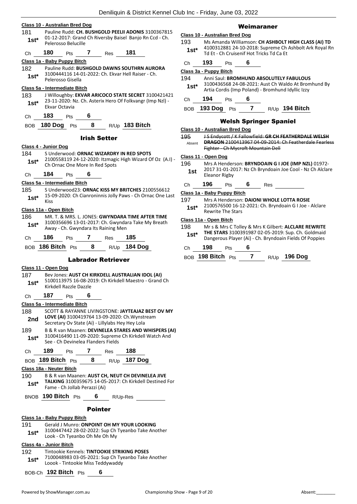|         | <b>Class 10 - Australian Bred Dog</b> |            |                     |                           |                                                                                                                  |                 |                                                                      | Weil |
|---------|---------------------------------------|------------|---------------------|---------------------------|------------------------------------------------------------------------------------------------------------------|-----------------|----------------------------------------------------------------------|------|
| 181     |                                       |            |                     |                           | Pauline Rudd: CH. BUSHGOLD PEELII ADONIS 3100367815<br>01-12-2017: Grand Ch Riversby Baisel Banjo Rn Ccd - Ch.   |                 | Class 10 - Australian Bred Dog                                       |      |
| $1st*$  | Pelerosso Belucille                   |            |                     |                           |                                                                                                                  | 193             | Ms Amanda Williamso                                                  |      |
| Ch      | 180                                   | Pts        | 7                   | Res                       | 181                                                                                                              | $1st*$          | 4100312881 24-10-20<br>Td Et - Ch Cruisenif Ho                       |      |
|         | Class 1a - Baby Puppy Bitch           |            |                     |                           |                                                                                                                  | Ch              | 193<br>Pts                                                           | 6    |
| 182     |                                       |            |                     |                           | Pauline Rudd: BUSHGOLD DAWNS SOUTHRN AURORA                                                                      |                 | Class 3a - Puppy Bitch                                               |      |
| 1st*    | Pelerosso Gisella                     |            |                     |                           | 3100444116 14-01-2022: Ch. Ekvar Hell Raiser - Ch.                                                               | 194             | Anni Saul: <b>BROMHUN</b>                                            |      |
|         | Class 5a - Intermediate Bitch         |            |                     |                           |                                                                                                                  | $1st*$          | 3100436568 24-08-20<br>Artia Cordis (Imp Pola                        |      |
| 183     |                                       |            |                     |                           | J Willoughby: EKVAR ARICOCO STATE SECRET 3100421421<br>23-11-2020: Nz. Ch. Asterix Hero Of Folkvangr (Imp NzI) - | Ch <sub>a</sub> | 194<br>Pts                                                           | 6    |
| $1st^*$ | Ekvar Octavia                         |            |                     |                           |                                                                                                                  | BOB             | 193 Dog Pts                                                          |      |
| Ch      | 183                                   | Pts        | 6                   |                           |                                                                                                                  |                 |                                                                      |      |
| BOB     | 180 Dog                               | Pts        | 8                   |                           | R/Up 183 Bitch                                                                                                   |                 | <b>Welsh Spr</b>                                                     |      |
|         |                                       |            |                     |                           |                                                                                                                  | 195             | Class 10 - Australian Bred Dog<br><del>J S Endycott / K Fallov</del> |      |
|         |                                       |            | <b>Irish Setter</b> |                           |                                                                                                                  | Absent          | <b>DRAGON 2100413967</b>                                             |      |
| 184     | Class 4 - Junior Dog                  |            |                     |                           | S Underwood: ORNAC WIZARDRY IN RED SPOTS                                                                         |                 | Fighter - Ch Mycroft N                                               |      |
| 1st*    |                                       |            |                     |                           | 2100558119 24-12-2020: Itzmagic High Wizard Of Oz (A.I) -                                                        |                 | Class 11 - Open Dog                                                  |      |
|         | Ch Ornac One More In Red Spots        |            |                     |                           |                                                                                                                  | 196             | Mrs A Henderson: BR<br>2017 31-01-2017: Nz                           |      |
| Ch      | 184                                   | Pts        | 6                   |                           |                                                                                                                  | 1st             | <b>Eleanor Rigby</b>                                                 |      |
|         | Class 5a - Intermediate Bitch         |            |                     |                           |                                                                                                                  | Ch              | 196<br>Pts                                                           | 6    |
| 185     |                                       |            |                     |                           | S Underwood23: ORNAC KISS MY BRITCHES 2100556612<br>15-09-2020: Ch Cianroninnis Jolly Paws - Ch Ornac One Last   |                 | Class 1a - Baby Puppy Bitch                                          |      |
| 1st*    | <b>Kiss</b>                           |            |                     |                           |                                                                                                                  | 197             | Mrs A Henderson: DA                                                  |      |
|         | Class 11a - Open Bitch                |            |                     |                           |                                                                                                                  | $1st*$          | 2100576500 16-12-20<br><b>Rewrite The Stars</b>                      |      |
| 186     |                                       |            |                     |                           | MR. T. & MRS. L. JONES: GWYNDARA TIME AFTER TIME                                                                 |                 | Class 11a - Open Bitch                                               |      |
| $1st^*$ | Away - Ch. Gwyndara Its Raining Men   |            |                     |                           | 3100356696 13-01-2017: Ch. Gwyndara Take My Breath                                                               | 198             | Mr s & Mrs C Tolley &                                                |      |
|         |                                       |            |                     |                           |                                                                                                                  | $1st^*$         | <b>THE STARS 31003919</b>                                            |      |
| Ch      | 186                                   | Pts        | $7$ and $7$         | Res                       | 185<br><b>184 Dog</b>                                                                                            |                 | Dangerous Player (Ai)                                                |      |
|         | BOB 186 Bitch Pts                     |            | 8                   | R/Up                      |                                                                                                                  |                 | 198<br>Pts                                                           | 6    |
|         |                                       |            |                     |                           |                                                                                                                  | Ch              |                                                                      |      |
|         |                                       |            |                     | <b>Labrador Retriever</b> |                                                                                                                  |                 | BOB 198 Bitch Pts                                                    |      |
|         | Class 11 - Open Dog                   |            |                     |                           |                                                                                                                  |                 |                                                                      |      |
| 187     |                                       |            |                     |                           | Bev Jones: AUST CH KIRKDELL AUSTRALIAN IDOL (AI)                                                                 |                 |                                                                      |      |
| $1st*$  | Kirkdell Razzle Dazzle                |            |                     |                           | 5100113975 16-08-2019: Ch Kirkdell Maestro - Grand Ch                                                            |                 |                                                                      |      |
| Ch      | 187                                   | Pts        | 6                   |                           |                                                                                                                  |                 |                                                                      |      |
|         | Class 5a - Intermediate Bitch         |            |                     |                           |                                                                                                                  |                 |                                                                      |      |
| 188     |                                       |            |                     |                           | SCOTT & RAYANNE LIVINGSTONE: JAYTEAJAZ BEST OV MY                                                                |                 |                                                                      |      |
| 2nd     |                                       |            |                     |                           | LOVE (AI) 3100419764 13-09-2020: Ch. Wynstream                                                                   |                 |                                                                      |      |
| 189     |                                       |            |                     |                           | Secretary Ov State (Ai) - Lillylabs Hey Hey Lola<br>B & R van Maanen: DEVINELEA STARES AND WHISPERS (AI)         |                 |                                                                      |      |
| 1st*    | See - Ch Devinelea Flanders Fields    |            |                     |                           | 3100416490 11-09-2020: Supreme Ch Kirkdell Watch And                                                             |                 |                                                                      |      |
| Ch      | 189                                   | <b>Pts</b> | $7\overline{ }$     | Res                       | 188                                                                                                              |                 |                                                                      |      |
|         | BOB 189 Bitch Pts                     |            | 8                   |                           | R/Up 187 Dog                                                                                                     |                 |                                                                      |      |
|         | Class 18a - Neuter Bitch              |            |                     |                           |                                                                                                                  |                 |                                                                      |      |
| 190     |                                       |            |                     |                           | B & R van Maanen: AUST CH, NEUT CH DEVINELEA JIVE                                                                |                 |                                                                      |      |
| $1st^*$ | Fame - Ch Jollab Perazzi (Ai)         |            |                     |                           | TALKING 3100359675 14-05-2017: Ch Kirkdell Destined For                                                          |                 |                                                                      |      |
|         | BNOB 190 Bitch Pts                    |            | 6                   | R/Up-Res                  |                                                                                                                  |                 |                                                                      |      |
|         |                                       |            |                     |                           |                                                                                                                  |                 |                                                                      |      |
|         |                                       |            | <b>Pointer</b>      |                           |                                                                                                                  |                 |                                                                      |      |
|         | Class 1a - Baby Puppy Bitch           |            |                     |                           |                                                                                                                  |                 |                                                                      |      |
| 191     |                                       |            |                     |                           | Gerald J Munro: ONPOINT OH MY YOUR LOOKING<br>3100447442 28-02-2022: Sup Ch Tyeanbo Take Another                 |                 |                                                                      |      |
| 1st*    | Look - Ch Tyeanbo Oh Me Oh My         |            |                     |                           |                                                                                                                  |                 |                                                                      |      |
| 192     | Class 4a - Junior Bitch               |            |                     |                           | Tintookie Kennels: TINTOOKIE STRIKING POSES                                                                      |                 |                                                                      |      |

# 7100048983 03-05-2021: Sup Ch Tyeanbo Take Another Loook - Tintookie Miss Teddywaddy **1st\***

BOB-Ch **192 Bitch** Pts **6**

# Weimaraner

| 193                    |     |     |   | Ms Amanda Williamson: CH ASHBOLT HIGH CLASS (AI) TD    |
|------------------------|-----|-----|---|--------------------------------------------------------|
| $1st*$                 |     |     |   | 4100312881 24-10-2018: Supreme Ch Ashbolt Ark Royal Rn |
|                        |     |     |   | Td Et - Ch Cruisenif Hot Tricks Td Ca Et               |
| Ch.                    | 193 | Pts | 6 |                                                        |
| Class 3a - Puppy Bitch |     |     |   |                                                        |
| 194                    |     |     |   | Anni Saul: BROMHUND ABSOLUTELY FABULOUS                |

| $1st*$ | 3100436568 24-08-2021: Aust Ch Waldo At Bromhund By<br>Artia Cordis (Imp Poland) - Bromhund Idyllic Izzy |
|--------|----------------------------------------------------------------------------------------------------------|
|        |                                                                                                          |

# Ch **194** Pts **6**

# BOB **193 Dog** Pts **7** R/Up **194 Bitch**

# Welsh Springer Spaniel

# **Class 10 - Australian Bred Dog**

| 495    | J S Endycott / K Fallowfield: GR CH FEATHERDALE WELSH        |
|--------|--------------------------------------------------------------|
| Ahsent | <b>DRAGON 2100413967 04-09-2014: Ch Featherdale Fearless</b> |
|        | Fighter - Ch Mycroft Mountain Dell                           |
|        | Class 11 - Open Dog                                          |

# 196 Mrs A Henderson: **BRYNDOAIN G I JOE (IMP NZL)** 01972-

- 2017 31-01-2017: Nz Ch Bryndoain Joe Cool Nz Ch Alclare t <sup>2017</sup> <sup>51-01-20</sup><br>Eleanor Rigby
- Ch **196** Pts **6** Res

# **Class 1a - Baby Puppy Bitch**

| 197    | Mrs A Henderson: DAIONI WHOLE LOTTA ROSIE              |
|--------|--------------------------------------------------------|
| $1st*$ | 2100576500 16-12-2021: Ch. Bryndoain G I Joe - Alclare |
|        | Rewrite The Stars                                      |

# **Class 11a - Open Bitch**

- 198 Mr s & Mrs C Tolley & Mrs K Gilbert: **ALCLARE REWRITE THE STARS** 3100391987 02-05-2019: Sup. Ch. Goldmaid Dangerous Player (Ai) - Ch. Bryndoain Fields Of Poppies
- 198 Pts 6

| BOB 198 Bitch Pts |  | R/Up 196 Dog |
|-------------------|--|--------------|
|                   |  |              |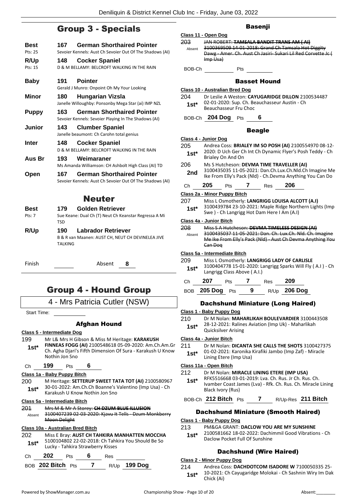# Group 3 - Specials

**Best 167 German Shorthaired Pointer** Pts: 25 Sevoier Kennels: Aust Ch Sevoier Out Of The Shadows (AI) **R/Up 148 Cocker Spaniel** Pts: 15 D & M BELLAMY: BELCROFT WALKING IN THE RAIN **Baby 191 Pointer** Gerald J Munro: Onpoint Oh My Your Looking **Minor 180 Hungarian Vizsla** Janelle Willoughby: Ponsonby Mega Star (ai) IMP NZL **Puppy 163 German Shorthaired Pointer** Sevoier Kennels: Sevoier Playing In The Shadows (AI) **Junior 143 Clumber Spaniel** Janelle beaumont: Ch Carohn total genius **Inter 148 Cocker Spaniel** D & M BELLAMY: BELCROFT WALKING IN THE RAIN **Aus Br 193 Weimaraner** Ms Amanda Williamson: CH Ashbolt High Class (AI) TD **Open 167 German Shorthaired Pointer** Sevoier Kennels: Aust Ch Sevoier Out Of The Shadows (AI) Neuter **Best 179 Golden Retriever** Pts: 7 Sue Keane: Dual Ch (T) Neut Ch Keanstar Regressa A Mi TSD **R/Up 190 Labrador Retriever** B & R van Maanen: AUST CH, NEUT CH DEVINELEA JIVE **TALKING** Finish Absent **8**

# Group 4 - Hound Group

4 - Mrs Patricia Cutler (NSW)

Start Time:

# Afghan Hound

**Class 5 - Intermediate Dog**

199 Mr L& Mrs H Gibson & Miss M Heritage: **KARAKUSH FINNEAS FOGG (AI)** 2100548618 05-09-2020: Am.Ch.Am.Gr Ch. Agha Djari's Fifth Dimension Of Sura - Karakush U Know Nothin Jon Sno **1st\***

Ch **199** Pts **6**

# **Class 1a - Baby Puppy Bitch**

200 M Heritage: **SETTERUP SWEET TATA TOT (AI)** 2100580967 30-01-2022: Am.Ch.Ch Boanne's Valentino (Imp Usa) - Ch 1st\* 30-01-2022: Am.Ch.Ch Boanne's<br>Karakush U Know Nothin Jon Sno

# **Class 5a - Intermediate Bitch**

201 Mrs M & Mr A Storey: **CH DZUM BLUE ILLUSION** 3100407239 02-03-2020: Kjavu It Tells - Dzum Monkberry Moon Delight Absent

# **Class 10a - Australian Bred Bitch**

202 Miss E Bray: **AUST CH TAHKIRA MANHATTEN MOCCHA** 5100104802 22-02-2018: Ch Tahkira You Should Be So 1st\* 5100104802 22-02-2018: Ch Tahk<br>Lucky - Tahkira Strawberry Kisses

| (∷n | 202<br>--- | ΊSΞ | kes |  |
|-----|------------|-----|-----|--|
|     |            |     |     |  |

| BOB 202 Bitch Pts |  | R/Up 199 Dog |
|-------------------|--|--------------|
|                   |  |              |

# **Basenji**

- **Class 11 - Open Dog** 203 JAN ROBERT: **TAMSALA BANDIT TRANS AM ( AI)** 3100369509 14-01-2018: Grand Ch Tamsala Hot Diggity Dawg - Amer. Ch. Aust Ch Jasiri- Sukari Lil Red Corvette Jc (  $Imp$   $\bar{l}$   $|ca_l$ Absent BOB-Ch Pts Basset Hound **Class 10 - Australian Bred Dog** 204 Dr Leslie A Weston: **CAYUGARIDGE DILLON** 2100534487 02-01-2020: Sup. Ch. Beauchasseur Austin - Ch **1st\*** UZ-01-2020: Sup. Ch. Beauchasseur Fru Choc BOB-Ch **204 Dog** Pts **6** Beagle **Class 4 - Junior Dog** 205 Andrea Coss: **BRIALEY IM SO POSH (AI)** 2100554970 08-12- 2020: D Uch Ger Ch Int Ch Dynamic Flyer's Posh Teddy - Ch **1st**\* <u>LOLO:</u> D UCH Ger C<br>Brialey On And On 206 Ms S Hutcheson: **DEVMA TIME TRAVELLER (AI)** 3100435035 11-05-2021: Dan.Ch.Lux.Ch.Nld.Ch Imagine Me **2nd** 3100435035 11-05-2021: Dan.Ch.Lux.Ch.Nid.Ch Imagine Mindel Reform Elly's Pack (NId) - Ch.Devma Anything You Can Do Ch **205** Pts **7** Res **206 Class 2a - Minor Puppy Bitch** 207 Miss L Osmotherly: **LANGRIGG LOUISA ALCOTT (A.I)** 3100439784 23-10-2021: Maple Ridge Northern Lights (Imp **1st** 3100439784 23-10-2021: Maple Ridge North<br>Swe ) - Ch Langrigg Hot Dam Here I Am (A.I) **Class 4a - Junior Bitch** 208 Miss S A Hutcheson: **DEVMA TIMELESS DESIGN (AI)** 3100435037 11-05-2021: Dan. Ch. Lux.Ch. Nld. Ch. Imagine Me Ike From Elly's Pack (Nld) - Aust Ch Devma Anything You Can Doq Absent **Class 5a - Intermediate Bitch** 209 Miss L Osmotherly: **LANGRIGG LADY OF CARLISLE** 3100404778 15-01-2020: Langrigg Sparks Will Fly ( A.I ) - Ch **1st**\*  $\frac{3100404778}{\text{Langing Class Above (A.I.)}}$ Ch **207** Pts **7** Res **209** BOB **205 Dog** Pts **9** R/Up **206 Dog** Dachshund Miniature (Long Haired) **Class 1 - Baby Puppy Dog** 210 Dr M Nolan: **MAHARLIKAH BOULEVARDIER** 3100443508 28-12-2021: Ralines Aviation (Imp Uk) - Maharlikah Quicksilver Arising **1st\* Class 4a - Junior Bitch** 211 Dr M Nolan: **DICANTA SHE CALLS THE SHOTS** 3100427375 01-02-2021: Karonika Kirafiki Jambo (Imp Zaf) - Miracle Lining Etere (Imp Usa) **1st\* Class 11a - Open Bitch** 212 Dr M Nolan: **MIRACLE LINING ETERE (IMP USA)** RFK5516668 03-01-2019: Lva. Ch. Rus. Jr Ch. Rus. Ch. Ivamber Coast James (Lva) - Rfk. Ch. Rus. Ch. Miracle Lining Black Ivory (Rus) **1st\*** BOB-Ch **212 Bitch** Pts **7** R/Up-Res **211 Bitch** Dachshund Miniature (Smooth Haired) **Class 1 - Baby Puppy Dog**
- 213 PM&GA GRANT: **DACLOW YOU ARE MY SUNSHINE**
	- 2100581662 18-02-2022: Dachimmil Good Vibrations Ch Daclow Pocket Full Of Sunshine **1st\***

# Dachshund (Wire Haired)

# **Class 2 - Minor Puppy Dog**

214 Andrea Coss: **DACHDOTCOM ISADORE W** 7100050335 25- 10-2021: Ch Cayugaridge Molokai - Ch Sashnin Wiry Im Dak 1st<sup>\*</sup> <sup>10-2021:</sup><br>Chick (Ai)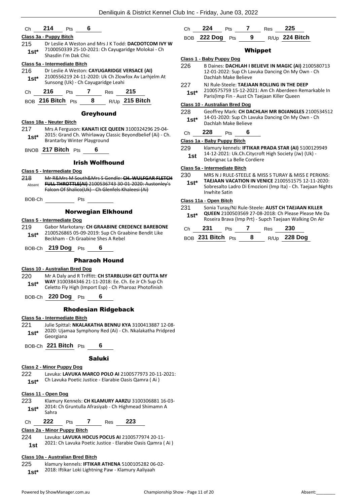| Ch | 214 | Pts |  |
|----|-----|-----|--|
|    |     |     |  |

# **Class 3a - Puppy Bitch**

215 Dr Leslie A Weston and Mrs J K Todd: **DACDOTCOM IVY W** 7100050339 25-10-2021: Ch Cayugaridge Molokai - Ch Shasdin I'm Dak Chic **1st\***

# **Class 5a - Intermediate Bitch**

216 Dr Leslie A Weston: **CAYUGARIDGE VERSACE (AI)** 2100556219 24-11-2020: Uk Ch Zlowfox Av Larhjelm At **1st** 2100556219 24-11-2020: UK Ch Zlow<br>Sunsong (Uk) - Ch Cayugaridge Leahi

| -- |  | - |
|----|--|---|
|    |  |   |

BOB **216 Bitch** Pts **8** R/Up **215 Bitch**

# Greyhound

# **Class 18a - Neuter Bitch**

217 Mrs A Ferguson: **KANATI ICE QUEEN** 3100324296 29-04- 2015: Grand Ch. Whirlaway Classic Beyondbelief (Ai) - Ch. **1st** 2015: Grand Cn. whirlaway Class 18th Brantarby Winter Playground

BNOB **217 Bitch** Pts **6**

# Irish Wolfhound

# **Class 5 - Intermediate Dog**

218 Mr R&Mrs M South&Mrs S Gendle: **CH. WULFGAR FLETCH FULL THROTTLE(AI)** 2100536743 30-01-2020: Austonley's Falcon Of Shalico(Uk) - Ch Glenfels Khaleesi (Ai) Absent

BOB-Ch Pts

# Norwegian Elkhound

# **Class 5 - Intermediate Dog**

- 219 Gabor Markotany: **CH GRAABINE CREDENCE BAREBONE** 2100526865 05-09-2019: Sup Ch Graabine Bendit Like Beckham - Ch Graabine Shes A Rebel **1st\***
- BOB-Ch **219 Dog** Pts **6**

# Pharaoh Hound

# **Class 10 - Australian Bred Dog**

- 220 Mr A Daly and R Triffitt: **CH STARBLUSH GET OUTTA MY WAY** 3100384346 21-11-2018: Ee. Ch. Ee Jr Ch Sup Ch
- **1st\*** WAY 3100384346 21-11-2018: Ee. Cn. Ee Jr Cn Sup Cn<br>Celetto Fly High (Import Esp) Ch Pharoaz Photofinish
- BOB-Ch **220 Dog** Pts **6**

# Rhodesian Ridgeback

# **Class 5a - Intermediate Bitch**

- 221 Julie Spittal: **NKALAKATHA BENNU KYA** 3100413887 12-08- 2020: Ujamaa Symphony Red (Ai) - Ch. Nkalakatha Pridpred **1st**\* <sup>2020: Ujai</sup><br>Georgiana
- BOB-Ch **221 Bitch** Pts **6**

# Saluki

# **Class 2 - Minor Puppy Dog**

- 222 Lavuka: **LAVUKA MARCO POLO AI** 2100577973 20-11-2021:
- Ch Lavuka Poetic Justice Elarabie Oasis Qamra ( Ai ) **1st\***

# **Class 11 - Open Dog**

- 223 Klamury Kennels: **CH KLAMURY AARZU** 3100306881 16-03- 2014: Ch Gruntulla Afrasiyab - Ch Highmead Shimamn A **1st**<sup>\*</sup> <sup>2014:</sup><br>Sahra Ch **222** Pts **7** Res **223**
- **Class 2a - Minor Puppy Bitch**
- 224 Lavuka: **LAVUKA HOCUS POCUS AI** 2100577974 20-11-
	- 2021: Ch Lavuka Poetic Justice Elarabie Oasis Qamra ( Ai ) **1st**

# **Class 10a - Australian Bred Bitch**

225 klamury kennels: **IFTIKAR ATHENA** 5100105282 06-02- 2018: Iftikar Loki Lightning Paw - Klamury Aaliyaah **1st\***

| Ch 224          | <b>Pts</b> |   | $Res$ 225 |                |
|-----------------|------------|---|-----------|----------------|
| BOB 222 Dog Pts |            | 9 |           | R/Up 224 Bitch |

# **Whippet**

# **Class 1 - Baby Puppy Dog**

- 226 B Daines: **DACHLAH I BELIEVE IN MAGIC (AI)** 2100580713 12-01-2022: Sup Ch Lavuka Dancing On My Own - Ch Dachlah Make Believe
- 227 NJ Rule-Steele: **TAEJAAN ROLLING IN THE DEEP**
- 2100575759 15-12-2021: Am Ch Aberdeen Remarkable In Paris(Imp Fin - Aust Ch Taejaan Killer Queen **1st\***

# **Class 10 - Australian Bred Dog**

228 Geoffrey Mark: **CH DACHLAH MR BOJANGLES** 2100534512 14-01-2020: Sup Ch Lavuka Dancing On My Own - Ch Dachlah Make Believe **1st\***

# Ch **228** Pts **6**

# **Class 1a - Baby Puppy Bitch**

- 229 klamury kennels: **IFTIKAR PRADA STAR (AI)** 5100129949
- 14-12-2021: Uk.Ch.Citycroft High Society (Jw) (Uk) **1st** 14-12-2021: UK.CH.CH.CHOICH

# **Class 5a - Intermediate Bitch**

230 MRS N J RULE-STEELE & MISS S TURAY & MISS E PERKINS: **TAEJAAN VACATION IN VENICE** 2100551575 12-11-2020: Sobresalto Ladro Di Emozioni (Imp Ita) - Ch. Taejaan Nights Inwhite Satin **1st\***

# **Class 11a - Open Bitch**

231 Sonia Turay/NJ Rule-Steele: **AUST CH TAEJAAN KILLER QUEEN** 2100503569 27-08-2018: Ch Please Please Me Da Roseira Brava (Imp Prt) - Supch Taejaan Walking On Air **1st\***

| Ch | - 231             | <b>Pts</b> |     | Res | - 230        |
|----|-------------------|------------|-----|-----|--------------|
|    | BOB 231 Bitch Pts |            | - 8 |     | R/Up 228 Dog |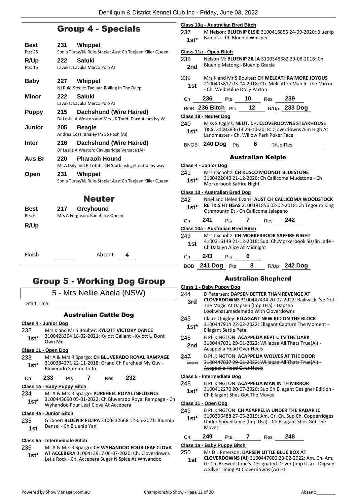# Group 4 - Specials

| Best         | 231 | Whippet                                                                                |
|--------------|-----|----------------------------------------------------------------------------------------|
| Pts: 25      |     | Sonia Turay/NJ Rule-Steele: Aust Ch Taejaan Killer Queen                               |
| R/Up         | 222 | Saluki                                                                                 |
| Pts: 15      |     | Lavuka: Lavuka Marco Polo AI                                                           |
| <b>Baby</b>  | 227 | Whippet<br>NJ Rule-Steele: Taejaan Rolling In The Deep                                 |
| Minor        | 222 | Saluki<br>Lavuka: Lavuka Marco Polo Al                                                 |
| <b>Puppy</b> | 215 | <b>Dachshund (Wire Haired)</b><br>Dr Leslie A Weston and Mrs J K Todd: Dacdotcom Ivy W |
| Junior       | 205 | <b>Beagle</b><br>Andrea Coss: Brialey Im So Posh (AI)                                  |
| <b>Inter</b> | 216 | Dachshund (Wire Haired)<br>Dr Leslie A Weston: Cayugaridge Versace (AI)                |
| Aus Br       | 220 | <b>Pharaoh Hound</b><br>Mr A Daly and R Triffitt: CH Starblush get outta my way        |
| Open         | 231 | Whippet                                                                                |
|              |     | Sonia Turay/NJ Rule-Steele: Aust Ch Taejaan Killer Queen                               |
|              |     | <b>Neuter</b>                                                                          |
| Best         | 217 | Greyhound                                                                              |
| Pts: 6       |     | Mrs A Ferguson: Kanati Ice Queen                                                       |
| R/Up         |     |                                                                                        |
| Finish       |     | Absent<br>4                                                                            |

# Group 5 - Working Dog Group

|                         |                                                   |                                      |  |                              | 5 - Mrs Nellie Abela (NSW)                                                                                | ź                            |
|-------------------------|---------------------------------------------------|--------------------------------------|--|------------------------------|-----------------------------------------------------------------------------------------------------------|------------------------------|
| <b>Start Time:</b>      |                                                   |                                      |  |                              |                                                                                                           |                              |
|                         |                                                   |                                      |  | <b>Australian Cattle Dog</b> |                                                                                                           | 2                            |
| Class 4 - Junior Dog    |                                                   |                                      |  |                              |                                                                                                           |                              |
| 232                     |                                                   |                                      |  |                              | Mrs K and Mr S Boulter: KYLOTT VICTORY DANCE                                                              |                              |
| $1st^*$                 | Own Me                                            |                                      |  |                              | 3100428364 18-02-2021: Kylott Gallant - Kylott U Dont                                                     | ź                            |
| Class 11 - Open Dog     |                                                   |                                      |  |                              |                                                                                                           |                              |
| 233                     |                                                   |                                      |  |                              | Mr A & Mrs R Spargo: CH BLUVERADO ROYAL RAMPAGE                                                           | ź                            |
| $1st^*$                 | 3100384271 22-11-2018: Grand Ch Pureheel My Guy - |                                      |  |                              |                                                                                                           |                              |
|                         |                                                   | Bluverado Samme Jo Jo                |  |                              |                                                                                                           |                              |
| Ch                      | 233                                               | Pts                                  |  | <b>7</b> Res                 | -232                                                                                                      | ءِ<br>ڏ                      |
|                         |                                                   | Class 1a - Baby Puppy Bitch          |  |                              |                                                                                                           |                              |
| 234                     |                                                   |                                      |  |                              | Mr A & Mrs R Spargo: PUREHEEL ROYAL INFLUENCE                                                             |                              |
| $1st^*$                 |                                                   | Wyhandoo Four Leaf Clova At Accebera |  |                              | 3100443690 05-01-2022: Ch Bluverado Royal Rampage - Ch                                                    | ا<br>د                       |
| Class 4a - Junior Bitch |                                                   |                                      |  |                              |                                                                                                           |                              |
| 235                     |                                                   |                                      |  |                              | G Exner: BLUENIP FELIPA 3100432668 12-05-2021: Bluenip                                                    |                              |
| 1st                     |                                                   | Densel - Ch Bluenip Yani             |  |                              |                                                                                                           |                              |
|                         |                                                   |                                      |  |                              |                                                                                                           |                              |
|                         |                                                   | Class 5a - Intermediate Bitch        |  |                              |                                                                                                           |                              |
| 236                     |                                                   |                                      |  |                              | Mr A & Mrs R Spargo: CH WYHANDOO FOUR LEAF CLOVA                                                          | $\overline{\mathbf{C}}$<br>ź |
| $1st^*$                 |                                                   |                                      |  |                              | AT ACCEBERA 3100413917 06-07-2020: Ch. Cloverdowns<br>Let's Rock - Ch. Accebera Sugar N Spice At Whyandoo |                              |

#### **Class 10a - Australian Bred Bitch**

237 M Nelson: **BLUENIP ELSIE** 3100416855 24-09-2020: Bluenip 1st\* Banjora - Ch Bluenip Whisper

# **Class 11a - Open Bitch**

| 238 | Nelson M: BLUENIP ZILLA 3100348382 29-08-2016: Ch |
|-----|---------------------------------------------------|
| 2nd | Bluenip Matong - Bluenip Gracie                   |

239 Mrs K and Mr S Boulter: **CH MELCATHRA MORE JOYOUS** 2100495817 03-04-2018: Ch. Melcathra Man In The Mirror **1st** <sup>2100495817 03-04-2018: Ch.<br>Ch. Welbeblue Dolly Parton</sup>

| Ch. | 236               | Pts | 10 | Res | 239            |
|-----|-------------------|-----|----|-----|----------------|
|     | BOB 236 Bitch Pts |     | 12 |     | $R/Up$ 233 Dog |

#### **Class 18 - Neuter Dog**

- 240 Miss S Eggins: **NEUT. CH. CLOVERDOWNS STEAKHOUSE TK.S.** 3100383613 23-10-2018: Cloverdowns Aim High At Landmaster - Ch. Willow Park Poker Face **1st\***
- BNOB **240 Dog** Pts **6** R/Up-Res

# Australian Kelpie

# **Class 4 - Junior Dog**

- 241 Mrs J Scholtz: **CH KUSCO MOONLIT BLUESTONE**
	- 3100422640 21-12-2020: Ch Callicoma Mudstone Ch 1st\* <sup>3100422640</sup> 21-12-2020:<br>Morkerbook Saffire Night

# **Class 10 - Australian Bred Dog**

242 Noel and Helen Evans: **AUST CH CALLICOMA WOODSTOCK RE TK.S HT HSAS** 2100491856 02-02-2018: Ch Tegoura King **1st\*** RE IK.5 HT HSAS 2100491856 02-02-20<br>Othmountn Et - Ch Callicoma Jalapeno

|  |  | "<br>. A - 7<br>., |
|--|--|--------------------|
|  |  |                    |

# **Class 10a - Australian Bred Bitch**

243 Mrs J Scholtz: **CH MORKERBOOK SAFFIRE NIGHT** 4100316149 21-12-2018: Sup. Ch.Morkerbook Sizzlin Jade - **1st** <sup>4100316149</sup> 21-12-2018: Sup

# Ch **243** Pts **6**

BOB **241 Dog** Pts **8** R/Up **242 Dog**

# Australian Shepherd

|                | Class 1 - Baby Puppy Dog                                                                                                                                                                  |
|----------------|-------------------------------------------------------------------------------------------------------------------------------------------------------------------------------------------|
| 244<br>3rd     | D Petersen: DAPSEN BETTER THAN REVENGE AT<br><b>CLOVERDOWNS</b> 3100447434 20-02-2022: Bailiwick I've Got<br>The Magic At Dapsen (Imp Usa) - Dapsen<br>Lookwhatumademedo With Cloverdowns |
| 245<br>$1st*$  | Claire Quigley: ELLAGANT NEW KID ON THE BLOCK<br>3100447914 22-02-2022: Ellagant Capture The Moment -<br><b>Ellagant Settle Petal</b>                                                     |
| 246<br>2nd     | <b>B PILKINGTON: ACAPPELIA KEPT U IN THE DARK</b><br>3100447031 29-01-2022: Willabaa All Thats True(Ai) -<br>Acappelia Head Over Heels                                                    |
| 247<br>Absent  | B PILKINGTON: ACAPPELIA WOLVES AT THE DOOR<br>3100447037 29-01-2022: Willabaa All Thats True(Ai) -<br>Acappelia Head Over Heels                                                           |
|                | <b>Class 5 - Intermediate Dog</b>                                                                                                                                                         |
| 248<br>$1st^*$ | <b>B PILKINGTON: ACAPPELIA MAN IN TH MIRROR</b><br>3100412270 20-07-2020: Sup Ch Ellagant Designer Edition -<br>Ch Ellagant Shes Got The Moves                                            |
|                | Class 11 - Open Dog                                                                                                                                                                       |
| 249<br>$1st^*$ | <b>B PILKINGTON: CH ACAPPELIA UNDER THE RADAR JC</b><br>3100396488 27-05-2019: Am. Gr. Ch. Sup Ch. Copperridges<br>Under Surveillance (Imp Usa) - Ch Ellagant Shes Got The<br>Moves       |
| Ch             | 249<br>248<br>7<br>Pts<br>Res                                                                                                                                                             |
|                | Class 1a - Baby Puppy Bitch                                                                                                                                                               |
| 250            | Ms D L Peterson: DAPSEN LITTLE BLUE BOX AT                                                                                                                                                |

**CLOVERDOWNS (AI)** 3100447600 28-02-2022: Am. Ch. Am. Gr Ch. Brewedstone's Designated Driver (Imp Usa) - Dapsen A Silver Lining At Cloverdowns (Ai) Ht **1st**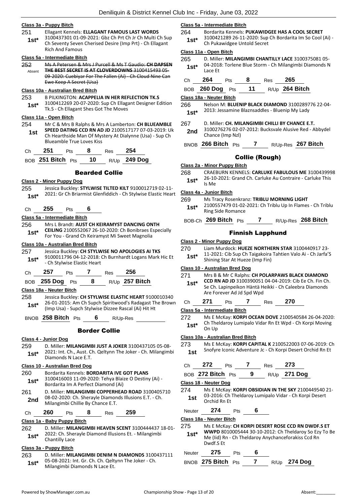# **Class 3a - Puppy Bitch**

- 251 Ellagant Kennels: **ELLAGANT FAMOUS LAST WORDS**
	- 3100437301 01-09-2021: Gbz Ch Prt Ch Jr Ch Multi Ch Sup Ch Seventy Seven Cherised Desire (Imp Prt) - Ch Ellagant Rich And Famous **1st\***

# **Class 5a - Intermediate Bitch**

252 Ms A Petersen & Mrs J Purcell & Ms T Gaudio: **CH DAPSEN THE BEST SECRET IS AT CLOVERDOWNS** 3100415493 05- 09-2020: Cuebiyar For The Fallen (Ai) - Ch Cloud Nine Can Ewe Keep A Secret (Usa) Absent

# **Class 10a - Australian Bred Bitch**

- 253 B PILKINGTON: **ACAPPELIA IN HER REFLECTION TK.S**
- 3100412269 20-07-2020: Sup Ch Ellagant Designer Edition **1st** 3100412269 20-07-2020, sup Circle 1st<br>Tk.S - Ch Ellagant Shes Got The Moves

#### **Class 11a - Open Bitch**

254 Mr C & Mrs B Ralphs & Mrs A Lamberton: **CH BLUEAMBLE SPEED DATING CCD RN AD JD** 2100517177 07-03-2019: Uk Ch Hearthside Man Of Mystery At Dialynne (Usa) - Sup Ch Blueamble True Loves Kiss **1st**

| Ch | 251 | Pts | 8 | Res | 254 |
|----|-----|-----|---|-----|-----|
|    |     |     |   |     |     |

BOB **251 Bitch** Pts **10** R/Up **249 Dog**

# Bearded Collie

# **Class 2 - Minor Puppy Dog**

- 255 Jessica Buckley: **STYLWISE TILTED KILT** 9100012719 02-11-
- 2021: Gr Ch Briarmist Glenfiddich Ch Stylwise Elastic Heart **1st\***

# Ch **255** Pts **6**

- **Class 5a - Intermediate Bitch**
- 256 Mrs L Brandt: **AUST CH KEIRAMYST DANCING ONTH CEILING** 2100552067 26-10-2020: Ch Bonibraes Especially For You - Grand Ch Keiramyst Mi Sweet Magnolia **1st\***

# **Class 10a - Australian Bred Bitch**

- 257 Jessica Buckley: **CH STYLWISE NO APOLOGIES AI TKS** 9100011796 04-12-2018: Ch Burnhardt Logans Mark Hic Et
- Ch Stylwise Elastic Heart **1st\***

Ch **257** Pts **7** Res **256**

BOB **255 Dog** Pts **8** R/Up **257 Bitch**

# **Class 18a - Neuter Bitch**

258 Jessica Buckley: **CH STYLWISE ELASTIC HEART** 9100010340 26-01-2015: Am Ch Supch Spiritwood's Radagast The Brown (Imp Usa) - Supch Stylwise Dizzee Rascal (Ai) Hit Ht **1st\***

BNOB **258 Bitch** Pts **6** R/Up-Res

# Border Collie

- **Class 4 - Junior Dog**
- 259 D. Miller: **MILANGIMBI JUST A JOKER** 3100437105 05-08- 2021: Int. Ch., Aust. Ch. Qeltynn The Joker - Ch. Milangimbi **1st\* 2021.** IIII. CII., Aust. C<br>Diamonds N Lace E.T.

# **Class 10 - Australian Bred Dog**

- 260 Bordarita Kennels: **BORDARITA IVE GOT PLANS** 3100416003 11-09-2020: Tehya Blaize O Destiny (Ai) - Bordarita Im A Perfect Diamond (Ai) **1st\***
- 261 D. Miller: **MILANGIMBI COPPERHEAD ROAD** 3100405710 08-02-2020: Ch. Sherayle Diamonds Illusions E.T. - Ch. 2nd US-UZ-2020: Ch. Sherayle Diamon<br>Milangimbi Chillie By Chance E.T.

# Ch **260** Pts **8** Res **259**

# **Class 1a - Baby Puppy Bitch**

262 D. Miller: **MILANGIMBI HEAVEN SCENT** 3100444437 18-01- 2022: Ch. Sherayle Diamond Illusions Et. - Milangimbi **1st**\* <sup>2022: Ch. She<br>Chantilly Lace</sup>

# **Class 3a - Puppy Bitch**

263 D. Miller: **MILANGIMBI DENIM N DIAMONDS** 3100437111 05-08-2021: Int. Gr. Ch. Ch. Qeltynn The Joker - Ch. 1st\* US-US-2021: Int. Gr. Cn. Cn. Qelt<br>Milangimbi Diamonds N Lace Et.

# **Class 5a - Intermediate Bitch**

264 Bordarita Kennels: **PUKAWIDGEE HAS A COOL SECRET** 3100421289 26-11-2020: Sup Ch Bordarita Im So Cool (Ai) - 1st\* 5100421269 20-11-2020. sup<br>Ch Pukawidgee Untold Secret

# **Class 11a - Open Bitch**

265 D. Miller: **MILANGIMBI CHANTILLY LACE** 3100375081 05- 04-2018: Torlene Blue Storm - Ch Milangimbi Diamonds N  $1$ **St**<sup>\*</sup>  $\frac{U4-ZUI}{I2C}$ 

| - | 264 | τs. | ο | ∙es ∶ | ÆF<br>כמ |
|---|-----|-----|---|-------|----------|
|   |     |     |   |       |          |

|  | BOB 260 Dog Pts |  |  |  | $R/Up$ 264 Bitch |
|--|-----------------|--|--|--|------------------|
|--|-----------------|--|--|--|------------------|

# **Class 18a - Neuter Bitch**

# 267 D. Miller: **CH. MILANGIMBI CHILLI BY CHANCE E.T.**

- 3100276276 02-07-2012: Bucksvale Alusive Red Abbydel **2nd Chance (Imp Nzl)**
- BNOB **266 Bitch** Pts **7** R/Up-Res **267 Bitch**

# Collie (Rough)

# **Class 2a - Minor Puppy Bitch**

- 268 CRAEBURN KENNELS: **CARLUKE FABULOUS ME** 3100439998 26-10-2021: Grand Ch. Carluke Au Contraire - Carluke This
- **1st**\*  $\frac{2b-10}{15 \text{ Me}}$

# **Class 4a - Junior Bitch**

- 269 Ms Tracy Rosenkranz: **TRIBLU MORNING LIGHT** 2100557479 01-02-2021: Ch Triblu Up In Flames - Ch Triblu **1st**\* <u>LIUUSS</u>/4/9 UI-UZ-<br>Ring Side Romance
- BOB-Ch **269 Bitch** Pts **7** R/Up-Res **268 Bitch**

# Finnish Lapphund

# **Class 2 - Minor Puppy Dog**

- 270 Liam Murdock: **HUEZE NORTHERN STAR** 3100440917 23-
	- 11-2021: Cib Sup Ch Taigakoira Tahtien Valo Ai Ch Jarfa'S **1st**\* II-2021: CID Sup Critial Bakona<br>Shining Star At Hueze (Imp Fin)

# **Class 10 - Australian Bred Dog**

- 271 Mrs B & Mr C Ralphs: **CH POLARPAWS BLACK DIAMOND** 
	- **CCD RN AD JD** 3100390051 04-04-2019: Cib Ee Ch. Fin Ch. Se Ch. Lapinpeikon Häntä Heikki - Ch Caleebra Diamonds Are Forever Ad Jd Spd Wpd **1st\***
- Ch **271** Pts **7** Res **270**

# **Class 5a - Intermediate Bitch**

272 Ms E McKay: **KORPI OCEAN DOVE** 2100540584 26-04-2020: Ch Theldaroy Lumipalo Vidar Rn Et Wpd - Ch Korpi Moving 1st<sup>\*</sup> Ch Ine

# **Class 10a - Australian Bred Bitch**

273 Ms E McKay: **KORPI CAPITAL K** 2100522003 07-06-2019: Ch Snofyre Iconic Adventure Jc - Ch Korpi Desert Orchid Rn Et **1st**

| Ch | 272               | Pts |    | Res | - 273               |
|----|-------------------|-----|----|-----|---------------------|
|    | BOB 272 Bitch Pts |     | -9 |     | R/Up <b>271 Dog</b> |

# **Class 18 - Neuter Dog**

274 Ms E McKay: **KORPI OBSIDIAN IN THE SKY** 2100449540 21- 03-2016: Ch Theldaroy Lumipalo Vidar - Ch Korpi Desert **1st** U<sub>3</sub>-2016: Ch<br>Orchid Rn Et

# Neuter **274** Pts **6**

# **Class 18a - Neuter Bitch**

275 Ms E McKay: **CH KORPI DESERT ROSE CCD RN DWDF.S ET WWPD** 8010005444 30-10-2012: Ch Theldaroy So Ezy To Be Me (Iid) Rn - Ch Theldaroy Anychanceforakiss Ccd Rn Dwdf.S Et **1st\***

# Neuter **275** Pts **6**

BNOB **275 Bitch** Pts **7** R/Up **274 Dog**

<sup>266</sup> Nelson M: **BLUENIP BLACK DIAMOND** 3100289776 22-04- 2013: Jessamine Blaznsaddles - Bluenip My Lady **1st\***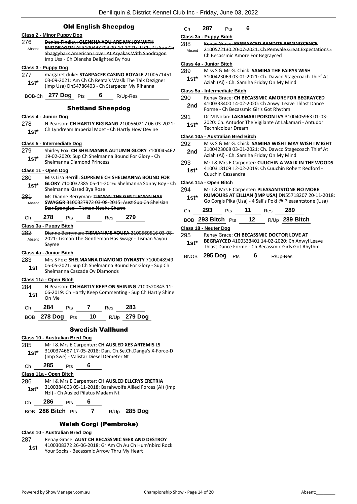# Old English Sheepdog

|               | <u> Class 2 - Minor Puppy Dog</u>                                                                                                                                  |     |                |                                        |                                                                                                                                                             |  |  |
|---------------|--------------------------------------------------------------------------------------------------------------------------------------------------------------------|-----|----------------|----------------------------------------|-------------------------------------------------------------------------------------------------------------------------------------------------------------|--|--|
| 276<br>Absent | Denise Findlay: OLENSHA YOU ARE MY JOY WITH<br><b>SNODRAGON AI 3100443704 09-10-2021: Itl Ch, Nz Sup Ch</b><br>Shaggybark American Lover At Aryakas With Snodragon |     |                |                                        |                                                                                                                                                             |  |  |
|               |                                                                                                                                                                    |     |                | Imp Usa - Ch Olensha Delighted By You  |                                                                                                                                                             |  |  |
|               | <u> Class 3 - Puppy Doq</u>                                                                                                                                        |     |                |                                        |                                                                                                                                                             |  |  |
| 277<br>$1st*$ |                                                                                                                                                                    |     |                |                                        | margaret duke: STARPACER CASINO ROYALE 2100571451<br>03-09-2021: Am Ch Ch Reata's Waslk The Talk Dezigner<br>(Imp Usa) Dn54786403 - Ch Starpacer My Rihanna |  |  |
|               | BOB-Ch 277 Dog Pts                                                                                                                                                 |     |                | 6                                      | R/Up-Res                                                                                                                                                    |  |  |
|               |                                                                                                                                                                    |     |                | <b>Shetland Sheepdog</b>               |                                                                                                                                                             |  |  |
|               | <u> Class 4 - Junior Dog</u>                                                                                                                                       |     |                |                                        |                                                                                                                                                             |  |  |
| 278           |                                                                                                                                                                    |     |                |                                        | N Pearson: CH HARTLY BIG BANG 2100560217 06-03-2021:                                                                                                        |  |  |
| $1st^*$       |                                                                                                                                                                    |     |                |                                        | Ch Lyndream Imperial Moet - Ch Hartly How Devine                                                                                                            |  |  |
|               | <u>Class 5 - Intermediate Dog</u>                                                                                                                                  |     |                |                                        |                                                                                                                                                             |  |  |
| 279           |                                                                                                                                                                    |     |                |                                        | Shirley Fox: CH SHELMANNA AUTUMN GLORY 7100045462<br>19-02-2020: Sup Ch Shelmanna Bound For Glory - Ch                                                      |  |  |
| $1st^*$       | Shelmanna Diamond Princess                                                                                                                                         |     |                |                                        |                                                                                                                                                             |  |  |
|               | Class 11 - Open Dog                                                                                                                                                |     |                |                                        |                                                                                                                                                             |  |  |
| 280           |                                                                                                                                                                    |     |                |                                        | Miss Lisa Berrill: SUPREME CH SHELMANNA BOUND FOR                                                                                                           |  |  |
| 1st*          | Shelmanna Kissed Bya Rose                                                                                                                                          |     |                |                                        | GLORY 7100037385 05-11-2016: Shelmanna Sonny Boy - Ch                                                                                                       |  |  |
| 281           |                                                                                                                                                                    |     |                |                                        | Ms Dianne Berryman: TISMAN THE GENTLEMAN HAS                                                                                                                |  |  |
| Absent        |                                                                                                                                                                    |     |                | Star Spangled - Tisman Noahs Charm     | <b>SWAGGR 3100327972 03-08-2015: Aust Sup Ch Shelsian</b>                                                                                                   |  |  |
| Сh            | 278                                                                                                                                                                | Pts | 8              | Res 279                                |                                                                                                                                                             |  |  |
|               | Class 3a - Puppy Bitch                                                                                                                                             |     |                |                                        |                                                                                                                                                             |  |  |
| 282           |                                                                                                                                                                    |     |                |                                        | Dianne Berryman: TISMAN ME YOUSA 2100569516 03-08-                                                                                                          |  |  |
| Absent        |                                                                                                                                                                    |     |                |                                        | 2021: Tisman The Gentleman Has Swagr - Tisman Sayou                                                                                                         |  |  |
|               | Sayme                                                                                                                                                              |     |                |                                        |                                                                                                                                                             |  |  |
|               | Class 4a - Junior Bitch                                                                                                                                            |     |                |                                        |                                                                                                                                                             |  |  |
| 283           |                                                                                                                                                                    |     |                |                                        | Mrs S Fox: SHELMANNA DIAMOND DYNASTY 7100048949<br>05-05-2021: Sup Ch Shelmanna Bound For Glory - Sup Ch                                                    |  |  |
| 1st           |                                                                                                                                                                    |     |                | Shelmanna Cascade Ov Diamonds          |                                                                                                                                                             |  |  |
|               | Class 11a - Open Bitch                                                                                                                                             |     |                |                                        |                                                                                                                                                             |  |  |
| 284           |                                                                                                                                                                    |     |                |                                        | N Pearson: CH HARTLY KEEP ON SHINING 2100520843 11-                                                                                                         |  |  |
| 1st           | On Me                                                                                                                                                              |     |                |                                        | 06-2019: Ch Hartly Keep Commenting - Sup Ch Hartly Shine                                                                                                    |  |  |
| Ch            | 284                                                                                                                                                                |     |                | Pts 7 Res                              | -283                                                                                                                                                        |  |  |
|               |                                                                                                                                                                    |     |                |                                        | BOB 278 Dog Pts 10 R/Up 279 Dog                                                                                                                             |  |  |
|               |                                                                                                                                                                    |     |                | <b>Swedish Vallhund</b>                |                                                                                                                                                             |  |  |
|               | <b>Class 10 - Australian Bred Dog</b>                                                                                                                              |     |                |                                        |                                                                                                                                                             |  |  |
| 285           |                                                                                                                                                                    |     |                |                                        | Mr I & Mrs E Carpenter: CH AUSLED XES ARTEMIS LS                                                                                                            |  |  |
| $1st*$        |                                                                                                                                                                    |     |                | (Imp Swe) - Valistar Diesel Demeter Nt | 3100374667 17-05-2018: Dan. Ch.Se.Ch.Danga's X-Force-D                                                                                                      |  |  |
| Ch            | 285                                                                                                                                                                | Pts | 6              |                                        |                                                                                                                                                             |  |  |
|               | Class 11a - Open Bitch                                                                                                                                             |     |                |                                        |                                                                                                                                                             |  |  |
| 286           |                                                                                                                                                                    |     |                |                                        | Mr I & Mrs E Carpenter: CH AUSLED ELLCRYS ERETRIA                                                                                                           |  |  |
| $1st*$        |                                                                                                                                                                    |     |                | Nzl) - Ch Ausled Pilatus Madam Nt      | 3100384603 05-11-2018: Barahwolfe Allied Forces (Ai) (Imp                                                                                                   |  |  |
|               | Ch <b>286</b> Pts                                                                                                                                                  |     | 6              |                                        |                                                                                                                                                             |  |  |
|               | BOB 286 Bitch Pts                                                                                                                                                  |     | $\overline{7}$ |                                        | R/Up 285 Dog                                                                                                                                                |  |  |

# Welsh Corgi (Pembroke)

# **Class 10 - Australian Bred Dog**

- 287 Renay Grace: **AUST CH BECASSMIC SEEK AND DESTROY**
- 4100308372 26-06-2018: Gr Am Ch Au Ch Hum'nbird Rock **1st** 4100308372 26-06-2018: Gr Am Ch Au Ch Hu<br>Your Socks - Becassmic Arrow Thru My Heart
	-

# Ch **287** Pts **6**

# **Class 3a - Puppy Bitch**

288 Renay Grace: **BEGRAYCED BANDITS REMINISCENCE** 2100572130 20-07-2021: Ch Pemvale Great Expectations - Ch Becassmic Amore For Begrayced Absent

# **Class 4a - Junior Bitch**

| 289   | Miss S & Mr G. Chick: SAMIHA THE FAIRYS WISH         |
|-------|------------------------------------------------------|
| $1e+$ | 3100423069 03-01-2021: Ch. Dawco Stagecoach Thief At |

**1st**\* 3100425005 05 01 2021: Ch. Bawee Stage

# **Class 5a - Intermediate Bitch**

| 290 | Renay Grace: CH BECASSMIC AMORE FOR BEGRAYCED      |
|-----|----------------------------------------------------|
| 2nd | 4100333400 14-02-2020: Ch Anwyl Leave Thlast Dance |
|     | Forme - Ch Becassmic Girls Got Rhythm              |

291 Dr M Nolan: **LAKAMARI POISON IVY** 3100405963 01-03- 2020: Ch. Antudor The Vigilante At Lakamari - Antudor **1st**\* 2020: Ch. Antudor II<br>Technicolour Dream

# **Class 10a - Australian Bred Bitch**

- 292 Miss S & Mr G. Chick: **SAMIHA WISH I MAY WISH I MIGHT** 3100423068 03-01-2021: Ch. Dawco Stagecoach Thief At 2nd 3100423068 03-01-2021: Cn. Dawco Stage<br>Aziah (Ai) - Ch. Samiha Friday On My Mind
- 293 Mr I & Mrs E Carpenter: **CUUCHIN A WALK IN THE WOODS**
	- 4100318109 12-02-2019: Ch Cuuchin Robert Redford 1st\* 4100318109 12-02<br>Cuuchin Cassandra
- 

# **Class 11a - Open Bitch**

| 294    | Mr I & Mrs E Carpenter: PLEASANTSTONE NO MORE              |
|--------|------------------------------------------------------------|
| $1st*$ | RUMOURS AT EILLIAN (IMP USA) DN55718207 20-11-2018:        |
|        | Go Corgis Pika (Usa) - 4 Sail's Poki @ Pleasantstone (Usa) |

| Ch 293 | <b>Pts</b> | $-11$ | Res <b>289</b> |                                         |
|--------|------------|-------|----------------|-----------------------------------------|
|        |            |       |                | BOB 293 Bitch $Pts$ 12 $R/Up$ 289 Bitch |

# **Class 18 - Neuter Dog**

295 Renay Grace: **CH BECASSMIC DOCTOR LOVE AT BEGRAYCED** 4100333401 14-02-2020: Ch Anwyl Leave **1st\*** BEGRATCED 4100333401 14-02-2020: Ch Anwyl Leave<br>Thlast Dance Forme - Ch Becassmic Girls Got Rhythm

BNOB **295 Dog** Pts **6** R/Up-Res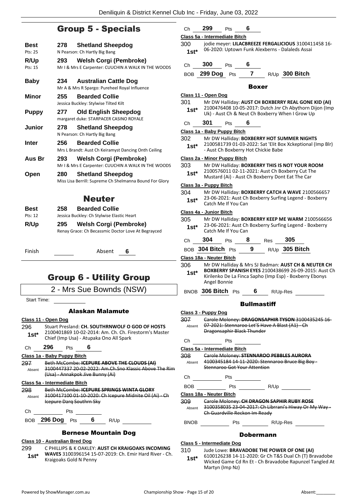# Group 5 - Specials

| Best         | 278 | <b>Shetland Sheepdog</b>                                |
|--------------|-----|---------------------------------------------------------|
| Pts: 25      |     | N Pearson: Ch Hartly Big Bang                           |
| R/Up         | 293 | <b>Welsh Corgi (Pembroke)</b>                           |
| Pts: 15      |     | Mr I & Mrs E Carpenter: CUUCHIN A WALK IN THE WOODS     |
| <b>Baby</b>  | 234 | <b>Australian Cattle Dog</b>                            |
|              |     | Mr A & Mrs R Spargo: Pureheel Royal Influence           |
| Minor        | 255 | <b>Bearded Collie</b>                                   |
|              |     | Jessica Buckley: Stylwise Tilted Kilt                   |
| <b>Puppy</b> | 277 | <b>Old English Sheepdog</b>                             |
|              |     | margaret duke: STARPACER CASINO ROYALE                  |
| Junior       | 278 | <b>Shetland Sheepdog</b>                                |
|              |     | N Pearson: Ch Hartly Big Bang                           |
| Inter        | 256 | <b>Bearded Collie</b>                                   |
|              |     | Mrs L Brandt: Aust Ch Keiramyst Dancing Onth Ceiling    |
| Aus Br       | 293 | Welsh Corgi (Pembroke)                                  |
|              |     | Mr I & Mrs E Carpenter: CUUCHIN A WALK IN THE WOODS     |
| Open         | 280 | <b>Shetland Sheepdog</b>                                |
|              |     | Miss Lisa Berrill: Supreme Ch Shelmanna Bound For Glory |
|              |     | <b>Neuter</b>                                           |
| Best         | 258 | <b>Bearded Collie</b>                                   |
| Pts: 12      |     | Jessica Buckley: Ch Stylwise Elastic Heart              |
|              |     |                                                         |

| R/Up | 295 | <b>Welsh Corgi (Pembroke)</b>                      |
|------|-----|----------------------------------------------------|
|      |     | Renay Grace: Ch Becassmic Doctor Love At Begrayced |

Finish Absent **6**

# Group 6 - Utility Group

2 - Mrs Sue Bownds (NSW)

Start Time:

# Alaskan Malamute

# **Class 11 - Open Dog**

296 Stuart Presland: **CH. SOUTHRNWOLF O GOD OF HOSTS** 2100401869 10-02-2014: Am. Ch. Ch. Firestorm's Master 1st\* 2100401869 10-02-2014: Am. Ch. Ch. Fil<br>Chief (Imp Usa) - Atupaka Ono All Spark

Ch **296** Pts **6**

**Class 1a - Baby Puppy Bitch**

- 297 Beth McCombe: **ICEPURE ABOVE THE CLOUDS (AI)**
- 3100447337 20-02-2022: Am.Ch.Sno Klassic Above The Rim (Usa) - Annakpok Jive Bunny (Ai) Absent

# **Class 5a - Intermediate Bitch**

298 Beth McCombe: **ICEPURE SPRINGS WINTA GLORY** 3100417100 01-10-2020: Ch Icepure Midnite Oil (Ai) - Ch Icepure Darq Southrn Sky Absent



BOB **296 Dog** Pts **6** R/Up

# Bernese Mountain Dog

# **Class 10 - Australian Bred Dog**

299 C PHILLIPS & K OAKLEY: **AUST CH KRAIGOAKS INCOMING WAVES** 3100396154 15-07-2019: Ch. Emir Hard River - Ch. Kraigoaks Gold N Penny **1st\***

| Сh                          | 299     | Pts                                  | 6                  |     |                                                                                                                                                       |                                                                                                                                                                        |
|-----------------------------|---------|--------------------------------------|--------------------|-----|-------------------------------------------------------------------------------------------------------------------------------------------------------|------------------------------------------------------------------------------------------------------------------------------------------------------------------------|
|                             |         | Class 5a - Intermediate Bitch        |                    |     |                                                                                                                                                       |                                                                                                                                                                        |
| 300                         |         |                                      |                    |     |                                                                                                                                                       | jodie meyer: LILACBREEZE FERGALICIOUS 3100411458 16-                                                                                                                   |
| $1st*$                      |         |                                      |                    |     | 06-2020: Uptown Funk Alexberns - Dalaleds Assai                                                                                                       |                                                                                                                                                                        |
| Сh                          | 300     | Pts                                  | 6                  |     |                                                                                                                                                       |                                                                                                                                                                        |
| <b>BOB</b>                  | 299 Dog | Pts                                  | 7                  |     | R/Up 300 Bitch                                                                                                                                        |                                                                                                                                                                        |
|                             |         |                                      | Boxer              |     |                                                                                                                                                       |                                                                                                                                                                        |
| Class 11 - Open Dog         |         |                                      |                    |     |                                                                                                                                                       |                                                                                                                                                                        |
| 301<br>$1st*$               |         |                                      |                    |     | Uk) - Aust Ch & Neut Ch Boxberry When I Grow Up                                                                                                       | Mr DW Halliday: AUST CH BOXBERRY REAL GONE KID (AI)<br>2100476408 10-05-2017: Dutch Jnr Ch Abythorn Dijon (Imp                                                         |
| Ch                          | 301     | Pts                                  | 6                  |     |                                                                                                                                                       |                                                                                                                                                                        |
|                             |         | Class 1a - Baby Puppy Bitch          |                    |     |                                                                                                                                                       |                                                                                                                                                                        |
| 302<br>1st*                 |         | - Aust Ch Boxberry Hot Chickie Babe  |                    |     | Mr DW Halliday: BOXBERRY HOT SUMMER NIGHTS                                                                                                            | 2100581739 01-03-2022: Sat 'Elit Box Xckeptional (Imp Blr)                                                                                                             |
|                             |         | <u> Class 2a - Minor Puppy Bitch</u> |                    |     |                                                                                                                                                       |                                                                                                                                                                        |
| 303<br>1st*                 |         |                                      |                    |     | Mr DW Halliday: BOXBERRY THIS IS NOT YOUR ROOM<br>2100576011 02-11-2021: Aust Ch Boxberry Cut The<br>Mustard (Ai) - Aust Ch Boxberry Dont Eat The Car |                                                                                                                                                                        |
| Class 3a - Puppy Bitch      |         |                                      |                    |     |                                                                                                                                                       |                                                                                                                                                                        |
| 304                         |         |                                      |                    |     |                                                                                                                                                       | Mr DW Halliday: BOXBERRY CATCH A WAVE 2100566657                                                                                                                       |
| 1st*                        |         | Catch Me If You Can                  |                    |     |                                                                                                                                                       | 23-06-2021: Aust Ch Boxberry Surfing Legend - Boxberry                                                                                                                 |
| Class 4a - Junior Bitch     |         |                                      |                    |     |                                                                                                                                                       |                                                                                                                                                                        |
| 305                         |         |                                      |                    |     |                                                                                                                                                       | Mr DW Halliday: BOXBERRY KEEP ME WARM 2100566656                                                                                                                       |
| $1st^*$                     |         | Catch Me If You Can                  |                    |     |                                                                                                                                                       | 23-06-2021: Aust Ch Boxberry Surfing Legend - Boxberry                                                                                                                 |
| Ch                          | 304     | Pts                                  | 8                  | Res | 305                                                                                                                                                   |                                                                                                                                                                        |
|                             |         | BOB 304 Bitch $P$ ts                 | 9                  |     | R/Up 305 Bitch                                                                                                                                        |                                                                                                                                                                        |
| Class 18a - Neuter Bitch    |         |                                      |                    |     |                                                                                                                                                       |                                                                                                                                                                        |
| 306<br>1st*                 |         | Angel Bonnie                         |                    |     |                                                                                                                                                       | Mr DW Halliday & Mrs SJ Badman: AUST CH & NEUTER CH<br>BOXBERRY SPANISH EYES 2100438699 26-09-2015: Aust Ch<br>Kirilenko De La Finca Sapho (Imp Esp) - Boxberry Ebonys |
|                             |         | BNOB 306 Bitch Pts                   | $6\overline{6}$    |     | R/Up-Res                                                                                                                                              |                                                                                                                                                                        |
|                             |         |                                      | <b>Bullmastiff</b> |     |                                                                                                                                                       |                                                                                                                                                                        |
| <u> Class 3 - Puppy Dog</u> |         |                                      |                    |     |                                                                                                                                                       |                                                                                                                                                                        |
|                             |         |                                      |                    |     |                                                                                                                                                       | 307 Carole Moloney: DRAGONSAPHIR TYSON 3100435245 16-                                                                                                                  |
|                             |         | <b>Dragonsaphir Black Thunder</b>    |                    |     | Absent 07-2021: Stennaroo Let'S Have A Blast (A1) - Ch                                                                                                |                                                                                                                                                                        |
| Ch                          |         | Pts                                  |                    |     |                                                                                                                                                       |                                                                                                                                                                        |
|                             |         | Class 5a - Intermediate Bitch        |                    |     |                                                                                                                                                       |                                                                                                                                                                        |
| 308 —                       |         | <b>Stennaroo Got Your Attention</b>  |                    |     | Carole Moloney: STENNAROO PEBBLES AURORA<br>Absent 4100345184 14 11 2020: Stennaroo Bruce Big Boy-                                                    |                                                                                                                                                                        |
| Ch                          |         | Pts                                  |                    |     |                                                                                                                                                       |                                                                                                                                                                        |

BOB Pts R/Up

**Class 18a - Neuter Bitch**

309 Carole Moloney: **CH DRAGON SAPHIR RUBY ROSE** 3100358035 23-04-2017: Ch Librrani's Hiway Or My Way - Ch Guardville Reckon Im Ready Absent

BNOB Pts R/Up-Res

# Dobermann

# **Class 5 - Intermediate Dog**

310 Jude Lowe: **BRAVADOBE THE POWER OF ONE (AI)**

6100126238 14-11-2020: Gr Ch T&S Dual Ch (T) Bravadobe Wicked Game Cd Rn Et - Ch Bravadobe Rapunzel Tangled At Martyn (Imp Nz) **1st\***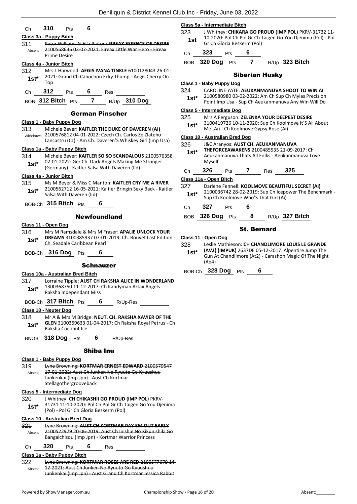| 310<br>Ch<br>Pts | 6 |
|------------------|---|
|------------------|---|

# **Class 3a - Puppy Bitch**

311 Peter Williams & Ella Pieton: **FIREAX ESSENCE OF DESIRE** 2100568636 03-07-2021: Fireax Little War Hero - Fireax Prime Desire Absent

# **Class 4a - Junior Bitch**

312 Mrs L Harwood: **AEGIS IVANA TINKLE** 6100128043 26-01- 2021: Grand Ch Cabochon Ecky Thump - Aegis Cherry On Top **1st\***

| -- | $\overline{\phantom{a}}$ | --<br>-- |  |
|----|--------------------------|----------|--|
|    |                          |          |  |

BOB **312 Bitch** Pts **7** R/Up **310 Dog**

German Pinscher

# **Class 1 - Baby Puppy Dog**

313 Michele Beyer: **KAITLER THE DUKE OF DAVEREN (AI)** 2100576812 04-01-2022: Czech Ch. Carlos Ze Zlateho Lancastru (Cz) - Am Ch. Daveren'S Whiskey Girl (Imp Usa) Withdrawn

# **Class 1a - Baby Puppy Bitch**

314 Michele Beyer: **KAITLER SO SO SCANDALOUS** 2100576358 02-01-2022: Ger Ch. Dark Angels Making Me Stronger. (Germany) - Kaitler Salsa With Daveren (Iid) **1st\***

# **Class 4a - Junior Bitch**

- 315 Ms M Beyer & Miss C Manton: **KAITLER CRY ME A RIVER** 2100562712 16-05-2021: Kaitler Bringin Sexy Back - Kaitler Salsa With Daveren (Iid) **1st\***
- BOB-Ch **315 Bitch** Pts **6**

# Newfoundland

# **Class 11 - Open Dog**

316 Mrs M Ramsdale & Mrs M Fraser: **APALIE UNLOCK YOUR DREAMS** 3100385937 07-01-2019: Ch. Bouvet Last Edition - Ch. Seadale Caribbean Pearl **1st\***

BOB-Ch **316 Dog** Pts **6**

# **Schnauzer**

# **Class 10a - Australian Bred Bitch**

- 317 Lorraine Tipple: **AUST CH RAKSHA ALICE IN WONDERLAND** 1300368750 11-12-2017: Ch Kandyman Artax Angels - Raksha Independant Miss **1st\***
- BOB-Ch **317 Bitch** Pts **6** R/Up-Res

**Class 18 - Neuter Dog**

318 Mr A & Mrs M Bridge: **NEUT. CH. RAKSHA XAVIER OF THE GLEN** 3100359633 01-04-2017: Ch Raksha Royal Petrus - Ch 1st\* **GLEN 3100359633 \**<br>Raksha Coconut Ice

BNOB **318 Dog** Pts **6** R/Up-Res

# **Class 1 - Baby Puppy Dog**

319 Lyne Browning: **KORTMAR ERNEST EDWARD** 2100579547 17-01-2022: Aust Ch Junken No Ryuuto Go Kyuushuu Junkenkai (Imp Jpn) - Aust Ch Kortmar Stellagothergrooveback Absent **Class 5 - Intermediate Dog** 320 J Whitney: **CH CHIKASHII GO PROUD (IMP POL)** PKRV-31731 11-10-2020: Pol Ch Pol Gr Ch Taigen Go You Djenima (Pol) - Pol Gr Ch Gloria Beskerm (Pol) **1st\* Class 10 - Australian Bred Dog** 321 Lyne Browning: **AUST CH KORTMAR PAY EM OUT EARLY** 2100522979 20-06-2019: Aust Ch Inishie No Kikunishiki Go Bangaichisou (Imp Jpn) - Kortmar Warrior Princess Absent Ch **320** Pts **6** Res **Class 1a - Baby Puppy Bitch** 322 Lyne Browning: **KORTMAR ROSES ARE RED** 2100577679 14- 12-2021: Aust Ch Junken No Ryuuto Go Kyuushuu Absent

Junkenkai (Imp Jpn) - Aust Grand Ch Kortmar Jessica Rabbit

# **Class 5a - Intermediate Bitch**

- 323 J Whitney: **CHIKARA GO PROUD (IMP POL)** PKRV-31732 11- 10-2020: Pol Ch Pol Gr Ch Taigen Go You Djenima (Pol) - Pol **1st** IV-2020. Por Cir Por Gr Ch<br>Gr Ch Gloria Beskerm (Pol)
	- Ch **323** Pts **6**

BOB **320 Dog** Pts **7** R/Up **323 Bitch**

# Siberian Husky

#### **Class 1 - Baby Puppy Dog**

324 CAROLINE YATE: **AEUKANMANUVA SHOOT TO WIN AI**

2100580980 03-02-2022: Am Ch Sup Ch Mylas Precision Point Imp Usa - Sup Ch Aeukanmanuva Any Win Will Do **1st\***

# **Class 5 - Intermediate Dog**

| 325 | Mrs A Ferguson: ZELENKA YOUR DEEPEST DESIRE |  |
|-----|---------------------------------------------|--|
|-----|---------------------------------------------|--|

3100419726 10-11-2020: Sup Ch Koolmove It'S All About Me (Ai) - Ch Koolmove Gypsy Rose (Ai) **1st\***

# **Class 10 - Australian Bred Dog**

| 326<br>$1st*$          | <b>J&amp;C Aranyos: AUST CH. AEUKANMANUVA</b><br>THEFORCEAWAKENS 2100485535 21-09-2017: Ch<br>Aeukanmanuva Thats All Folks - Aeukanmanuva Love<br>Myself |                                      |                    |            |                                                        |  |
|------------------------|----------------------------------------------------------------------------------------------------------------------------------------------------------|--------------------------------------|--------------------|------------|--------------------------------------------------------|--|
| Ch                     | 326                                                                                                                                                      | Pts                                  |                    | <b>Res</b> | 325                                                    |  |
| Class 11a - Open Bitch |                                                                                                                                                          |                                      |                    |            |                                                        |  |
| 327                    |                                                                                                                                                          |                                      |                    |            | Darlene Fennell: KOOLMOVE BEAUTIFUL SECRET (AI)        |  |
| $1st*$                 |                                                                                                                                                          | Sup Ch Koolmove Who'S That Girl (Ai) |                    |            | 2100036742 28-02-2019: Sup Ch Icepower The Benchmark - |  |
| Сh                     | 327                                                                                                                                                      | Pts                                  | 6                  |            |                                                        |  |
| <b>BOB</b>             | -326 Doq                                                                                                                                                 | Pts                                  | 8                  |            | R/Up 327 Bitch                                         |  |
|                        |                                                                                                                                                          |                                      | <b>St. Bernard</b> |            |                                                        |  |

**Class 11 - Open Dog**

328 Leslie Mathieson: **CH CHANDLIMORE LOUIS LE GRANDE** 

**(AV2) (IMPUK)** 2637DE 05-12-2017: Alpentire Jump The Gun At Chandlimore (At2) - Carashon Magic Of The Night  $(Aq4)$ **1st\***

BOB-Ch **328 Dog** Pts **6**

# Shiba Inu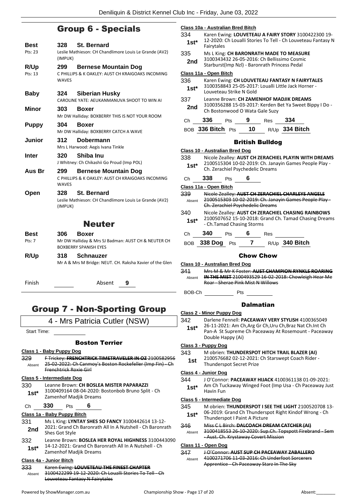# Group 6 - Specials

| Best<br>Pts: 23        | <b>St. Bernard</b><br>328<br>Leslie Mathieson: CH Chandlimore Louis Le Grande (AV2)<br>(IMPUK)             |
|------------------------|------------------------------------------------------------------------------------------------------------|
| <b>R/Up</b><br>Pts: 13 | 299<br><b>Bernese Mountain Dog</b><br>C PHILLIPS & K OAKLEY: AUST CH KRAIGOAKS INCOMING<br><b>WAVES</b>    |
| <b>Baby</b>            | 324<br><b>Siberian Husky</b><br>CAROLINE YATE: AEUKANMANUVA SHOOT TO WIN AI                                |
| <b>Minor</b>           | 303<br><b>Boxer</b><br>Mr DW Halliday: BOXBERRY THIS IS NOT YOUR ROOM                                      |
| <b>Puppy</b>           | 304<br><b>Boxer</b><br>Mr DW Halliday: BOXBERRY CATCH A WAVE                                               |
| <b>Junior</b>          | 312<br>Dobermann<br>Mrs L Harwood: Aegis Ivana Tinkle                                                      |
| <b>Inter</b>           | 320<br>Shiba Inu<br>J Whitney: Ch Chikashii Go Proud (Imp POL)                                             |
| Aus Br                 | 299<br><b>Bernese Mountain Dog</b><br>C PHILLIPS & K OAKLEY: AUST CH KRAIGOAKS INCOMING<br><b>WAVES</b>    |
| Open                   | <b>St. Bernard</b><br>328<br>Leslie Mathieson: CH Chandlimore Louis Le Grande (AV2)<br>(IMPUK)             |
|                        | <b>Neuter</b>                                                                                              |
| Best<br>Pts: 7         | 306<br><b>Boxer</b><br>Mr DW Halliday & Mrs SJ Badman: AUST CH & NEUTER CH<br><b>BOXBERRY SPANISH EYES</b> |
| R/Up                   | <b>Schnauzer</b><br>318<br>Mr A & Mrs M Bridge: NEUT. CH. Raksha Xavier of the Glen                        |
| Finish                 | Absent<br>9                                                                                                |
|                        | <b>Group 7 - Non-Sporting Group</b>                                                                        |
|                        | 4 - Mrs Patricia Cutler (NSW)                                                                              |
|                        |                                                                                                            |

Start Time:

# Boston Terrier

# **Class 1 - Baby Puppy Dog**

329 F Trickey: **FRENCHTRICK TIMETRAVELER IN OZ** 2100582956 25-02-2022: Ch Canmoy's Boston Rockefeller (Imp Fin) - Ch Frenchtrick Roxie Girl Absent

# **Class 5 - Intermediate Dog**

- 330 Leanne Brown: **CH BOSLEA MISTER PAPARAZZI** 3100409164 08-04-2020: Bostonbob Bruno Split - Ch Zamenhof Madjik Dreams **1st\***
- Ch **330** Pts **6**

# **Class 1a - Baby Puppy Bitch**

- 331 Ms L King: **LYNTAY SHES SO FANCY** 3100442614 13-12- 2021: Grand Ch Baronrath All In A Nutshell - Ch Baronrath **2nd** <sup>2021: Grand C</sup> Shes Got Style
- 332 Leanne Brown: **BOSLEA HER ROYAL HIGHNESS** 3100443090 14-12-2021: Grand Ch Baronrath All In A Nutshell - Ch **1st**\* 14-12-2021: Grand Ch Bar<br>Zamenhof Madjik Dreams

# **Class 4a - Junior Bitch**

333 Karen Ewing: **LOUVETEAU THE FINEST CHAPTER** 3100422299 19-12-2020: Ch Loualli Stories To Tell - Ch Louveteau Fantasy N Fairytales Absent

|    |                      | Class 10a - Australian Bred Bitch                                                                     |  |  |  |  |
|----|----------------------|-------------------------------------------------------------------------------------------------------|--|--|--|--|
|    | 334                  | Karen Ewing: LOUVETEAU A FAIRY STORY 3100422300 19-                                                   |  |  |  |  |
|    | $1st*$               | 12-2020: Ch Loualli Stories To Tell - Ch Louveteau Fantasy N<br>Fairytales                            |  |  |  |  |
|    | 335                  | Ms L King: CH BARONRATH MADE TO MEASURE                                                               |  |  |  |  |
|    |                      | 3100343432 26-05-2016: Ch Bellissimo Cosmic                                                           |  |  |  |  |
|    | 2nd                  | Starburst(Imp Nzl) - Baronrath Princess Pedal                                                         |  |  |  |  |
|    |                      | Class 11a - Open Bitch                                                                                |  |  |  |  |
|    |                      |                                                                                                       |  |  |  |  |
|    | 336                  | Karen Ewing: CH LOUVETEAU FANTASY N FAIRYTALES<br>3100358843 25-05-2017: Loualli Little Jack Horner - |  |  |  |  |
|    | $1st*$               | Louveteau Strike N Gold                                                                               |  |  |  |  |
|    | 337                  | Leanne Brown: CH ZAMENHOF MADJIK DREAMS                                                               |  |  |  |  |
|    |                      | 3100356288 15-03-2017: Kerden Bet Ya Sweet Bippy I Do -                                               |  |  |  |  |
|    | 2nd                  | Ch Bostonwood O Wata Gale Suzy                                                                        |  |  |  |  |
|    |                      | 336<br>9<br>334                                                                                       |  |  |  |  |
|    | Сh                   | Pts<br>Res                                                                                            |  |  |  |  |
|    |                      | R/Up 334 Bitch<br>10<br>BOB $336$ Bitch $Pts$                                                         |  |  |  |  |
|    |                      |                                                                                                       |  |  |  |  |
|    |                      | <b>British Bulldog</b>                                                                                |  |  |  |  |
|    |                      | Class 10 - Australian Bred Dog                                                                        |  |  |  |  |
|    | 338                  | Nicole Zealley: AUST CH ZERACHIEL PLAYIN WITH DREAMS                                                  |  |  |  |  |
|    | 1st*                 | 2100515304 10-02-2019: Ch. Janayin Games People Play -                                                |  |  |  |  |
|    |                      | Ch. Zerachiel Psychedelic Dreams                                                                      |  |  |  |  |
|    | Сh                   | 338<br>6<br><b>Pts</b>                                                                                |  |  |  |  |
|    |                      | Class 11a - Open Bitch                                                                                |  |  |  |  |
|    | 339                  | Nicole Zealley: AUST CH ZERACHIEL CHARLEYS ANGELS                                                     |  |  |  |  |
|    |                      | 2100515303 10-02-2019: Ch. Janayin Games People Play-                                                 |  |  |  |  |
|    | Absent               | Ch. Zerachiel Psychedelic Dreams                                                                      |  |  |  |  |
|    | 340                  | Nicole Zealley: AUST CH ZERACHIEL CHASING RAINBOWS                                                    |  |  |  |  |
|    |                      | 2100507652 15-10-2018: Grand Ch. Tamad Chasing Dreams                                                 |  |  |  |  |
|    | $1st^*$              | - Ch.Tamad Chasing Storms                                                                             |  |  |  |  |
|    |                      | 340<br>6                                                                                              |  |  |  |  |
|    | Сh                   | Pts<br>Res                                                                                            |  |  |  |  |
|    | BOB.                 | 7<br>R/Up 340 Bitch<br>338 Dog Pts                                                                    |  |  |  |  |
|    |                      | <b>Chow Chow</b>                                                                                      |  |  |  |  |
| ١  |                      |                                                                                                       |  |  |  |  |
|    |                      | <b>Class 10 - Australian Bred Dog</b>                                                                 |  |  |  |  |
|    | 341                  | Mrs M & Mr K Foster: AUST CHAMPION RYNKLS ROARING                                                     |  |  |  |  |
|    | Absent               | IN THE MIST 2100493529 16 02 2018: Chowleigh Hear Me                                                  |  |  |  |  |
|    |                      | Roar - Sherae Pink Mist N Willows                                                                     |  |  |  |  |
|    | BOB-Ch               | Pts                                                                                                   |  |  |  |  |
|    |                      |                                                                                                       |  |  |  |  |
|    |                      | <b>Dalmatian</b>                                                                                      |  |  |  |  |
|    |                      | <b>Class 2 - Minor Puppy Dog</b>                                                                      |  |  |  |  |
|    | 342                  | Darlene Fennell: PACEAWAY VERY STYLISH 4100365049                                                     |  |  |  |  |
|    | 1st*                 | 26-11-2021: Am Ch, Arg Gr Ch, Uru Ch, Braz Nat Ch. Int Ch                                             |  |  |  |  |
|    |                      | Pan-A St Supreme Ch Paceaway At Rosemount - Paceaway                                                  |  |  |  |  |
|    |                      | Double Happy (Ai)                                                                                     |  |  |  |  |
|    |                      | Class 3 - Puppy Dog                                                                                   |  |  |  |  |
|    | 343                  | M obrien: THUNDERSPOT HITCH TRAIL BLAZER (AI)                                                         |  |  |  |  |
| 56 |                      | 2100576682 02-12-2021: Ch Starswept Coach Rider -                                                     |  |  |  |  |
| h  | 1st                  | Thunderspot Secret Prize                                                                              |  |  |  |  |
|    | Class 4 - Junior Dog |                                                                                                       |  |  |  |  |
|    | 344                  | J O'Connor: PACEAWAY HIJACK 4100361138 01-09-2021:                                                    |  |  |  |  |
|    |                      | Am Ch Tuckaway Winged Foot (Imp Usa - Ch Paceaway Just                                                |  |  |  |  |
|    | 1st*                 | Havin Fun                                                                                             |  |  |  |  |
|    |                      | Class 5 - Intermediate Dog                                                                            |  |  |  |  |
|    |                      |                                                                                                       |  |  |  |  |
|    | 345                  | M obrien: THUNDERSPOT I SEE THE LIGHT 2100520708 13-                                                  |  |  |  |  |
|    | 1st*                 | 06-2019: Grand Ch Thunderspot Right Kindof Wrong - Ch<br>Thunderspot I Paint A Picture                |  |  |  |  |
|    |                      | Miss C L Birch: DALCOACH DREAM CATCHER (AI)                                                           |  |  |  |  |
|    | 346                  |                                                                                                       |  |  |  |  |

3100418553 26-10-2020: Sup.Ch. Topspott Firebrand - Sem - Aust. Ch. Krystaway Covert Mission Absent

# **Class 11 - Open Dog**

347 J O'Connor: **AUST SUP CH PACEAWAY ZABALLERO** 4100271706 11-03-2016: Ch Underfoot Sorcerers Apprentice - Ch Paceaway Starz In The Sky Absent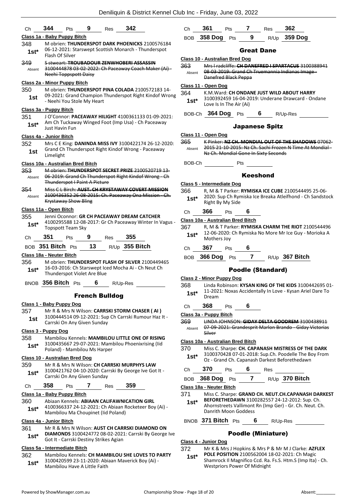| Ch             | 344<br>Pts                                                                                                                                       | 9                          | Res | 342            | Сh             | 361                                                     | F |
|----------------|--------------------------------------------------------------------------------------------------------------------------------------------------|----------------------------|-----|----------------|----------------|---------------------------------------------------------|---|
|                | Class 1a - Baby Puppy Bitch                                                                                                                      |                            |     |                |                | 358 Dog                                                 |   |
| 348<br>1st*    | M obrien: THUNDERSPOT DARK PHOENICKS 2100576184<br>06-12-2021: Starswept Scottish Monarch - Thunderspot                                          |                            |     |                | BOB.           |                                                         |   |
|                | Flash Of Silver                                                                                                                                  |                            |     |                |                | Class 10 - Australian                                   |   |
| 349<br>Absent  | S stweart: TROUBADOUR ZENWHOBERI ASSASSIN<br>3100444878 03-02-2022: Ch Paceaway Coach Maker (Ai) -<br>Neehi Toppspott Daisy                      |                            |     |                | 363<br>Absent  | Mrs I radcl<br>08-03-2019<br>Danefred E                 |   |
|                | Class 2a - Minor Puppy Bitch                                                                                                                     |                            |     |                |                | Class 11 - Open Dog                                     |   |
| 350<br>1st     | M obrien: THUNDERSPOT PINA COLADA 2100572183 14-<br>09-2021: Grand Champion Thunderspot Right Kindof Wrong<br>- Neehi You Stole My Heart         |                            |     |                | 364<br>$1st*$  | K.M.Ward:<br>310039245                                  |   |
|                | Class 3a - Puppy Bitch                                                                                                                           |                            |     |                |                | Love Is In T                                            |   |
| 351<br>$1st^*$ | J O'Connor: PACEAWAY HILIGHT 4100361133 01-09-2021:<br>Am Ch Tuckaway Winged Foot (Imp Usa) - Ch Paceaway<br><b>Just Havin Fun</b>               |                            |     |                | BOB-Ch         | 364 Do                                                  |   |
|                | <b>Class 4a - Junior Bitch</b>                                                                                                                   |                            |     |                |                | Class 11 - Open Dog                                     |   |
| 352<br>1st     | Mrs C E King: DANINDA MISS IVY 3100422174 26-12-2020:<br>Grand Ch Thunderspot Right Kindof Wrong - Paceaway<br>Limelight                         |                            |     |                | 365<br>Absent  | <b>K-Pinker: N</b><br><del>2015 21-1</del><br>Nz Ch. Mo |   |
|                | Class 10a - Australian Bred Bitch                                                                                                                |                            |     |                | BOB-Ch         |                                                         |   |
| 353<br>Absent  | M obrien: THUNDERSPOT SECRET PRIZE 2100520719 13-<br>06 2019: Grand Ch Thunderspot Right Kindof Wrong Ch<br><b>Thunderspot I Paint A Picture</b> |                            |     |                |                | <b>Class 5 - Intermediat</b>                            |   |
| 354            | Miss C L Birch: AUST. CH KRYSTAWAY COVERT MISSION                                                                                                |                            |     |                | 366            | <b>R, M &amp; T P</b>                                   |   |
| Absent         | 2100436352 26-08-2015: Ch. Paceaway Ona Mission - Ch.<br><b>Krystaway Show Bling</b>                                                             |                            |     |                | $1st*$         | 2020: Sup<br>Right By M                                 |   |
|                | Class 11a - Open Bitch                                                                                                                           |                            |     |                | Сh             | 366                                                     | F |
| 355<br>$1st*$  | Jenni Oconnor: GR CH PACEAWAY DREAM CATCHER<br>4100295588 12-08-2017: Gr Ch Paceaway Winter In Vagus -<br>Topspott Team Sky                      |                            |     |                | 367            | Class 10a - Australia<br>R, M & T P                     |   |
| Ch             | 351<br>Pts                                                                                                                                       | 9                          | Res | 355            | $1st*$         | 12-06-202<br>Mothers Jo                                 |   |
|                | BOB 351 Bitch Pts                                                                                                                                | 13                         |     | R/Up 355 Bitch | Сh             | 367                                                     | F |
| 356<br>$1st^*$ | Class 18a - Neuter Bitch<br>M obrien: THUNDERSPOT FLASH OF SILVER 2100449465<br>16-03-2016: Ch Starswept Iced Mocha Ai - Ch Neut Ch              |                            |     |                |                | <b>BOB 366 Dog</b>                                      |   |
|                | Thunderspot Violet Are Blue                                                                                                                      |                            |     |                |                | <b>Class 2 - Minor Pupp</b>                             |   |
|                | BNOB 356 Bitch Pts                                                                                                                               | 6<br><b>French Bulldog</b> |     | R/Up-Res       | 368<br>$1st*$  | Linda Robi<br>11-2021: N                                |   |
|                | Class 1 - Baby Puppy Dog                                                                                                                         |                            |     |                |                | Dream                                                   |   |
| 357            | Mr R & Mrs N Wilson: CARRSKI STORM CHASER (AI)                                                                                                   |                            |     |                | Ch             | 368                                                     | F |
| 1st            | 3100444514 09-12-2021: Sup Ch Carrski Rumour Haz It -<br>Carrski On Any Given Sunday                                                             |                            |     |                | 369.<br>Absent | Class 3a - Puppy Bit<br><b>LINDA JOH</b><br>07-09-202:  |   |
| 358            | Class 3 - Puppy Dog<br>Mambilou Kennels: MAMBILOU LITTLE ONE OF RISING                                                                           |                            |     |                |                | Silver                                                  |   |
| $1st^*$        | 3100435667 29-07-2021: Mambilou Phoenixrising (lid<br>Poland) - Mambilou Ms Harper                                                               |                            |     |                | 370            | Class 10a - Australia<br>Miss C. Sha                    |   |
|                | Class 10 - Australian Bred Dog                                                                                                                   |                            |     |                | $1st^*$        | 310037042<br>Oz - Grand                                 |   |
| 359<br>$1st^*$ | Mr R & Mrs N Wilson: CH CARRSKI MURPHYS LAW<br>3100421762 04-10-2020: Carrski By George Ive Got It -<br>Carrski On Any Given Sunday              |                            |     |                | Сh             | 370                                                     | F |
|                | 358                                                                                                                                              | 7                          |     | 359            |                | <b>BOB 368 Dog</b>                                      |   |
| Ch             | Pts<br>Class 1a - Baby Puppy Bitch                                                                                                               |                            | Res |                | 371            | Class 18a - Neuter B<br>Miss C. Sha                     |   |
| 360            | Abiaan Kennels: ABIAAN CALIFAWNICATION GIRL<br>4100366337 24-12-2021: Ch Abiaan Rocketeer Boy (Ai) -                                             |                            |     |                | $1st^*$        | <b>BEFORETH</b><br>Ahornstree                           |   |
| $1st^*$        | Mambilou Ma Choupinet (Iid Poland)                                                                                                               |                            |     |                |                | Danrith Mo                                              |   |
|                | Class 4a - Junior Bitch<br>Mr R & Mrs N Wilson: AUST CH CARRSKI DIAMOND ON                                                                       |                            |     |                |                | BNOB 371 Bitch                                          |   |
| 361<br>$1st^*$ | DIAMONDS 3100424772 08-02-2021: Carrski By George Ive<br>Got It - Carrski Destiny Strikes Agian                                                  |                            |     |                |                |                                                         |   |
|                | Class 5a - Intermediate Bitch                                                                                                                    |                            |     |                | 372            | Class 4 - Junior Dog<br>Mr K & Mr                       |   |
| 362            | Mambilou Kennels: CH MAMBILOU SHE LOVES TO PARTY                                                                                                 |                            |     |                | 1st*           | <b>POLE POSI</b>                                        |   |
| $1*$           | 3100420599 23-11-2020: Abiaan Maverick Boy (Ai) -                                                                                                |                            |     |                |                | Shamrock                                                |   |

Mambilou Have A Little Faith **1st\***

| Ch <b>361</b>   | <b>Pts</b> |   | $Res$ 362 |                     |  |
|-----------------|------------|---|-----------|---------------------|--|
| BOB 358 Dog Pts |            | 9 |           | R/Up <b>359 Dog</b> |  |

# Great Dane

|    | Class 10 - Australian Bred Dog |                                                                                                                                        |  |  |  |  |  |
|----|--------------------------------|----------------------------------------------------------------------------------------------------------------------------------------|--|--|--|--|--|
|    | 363<br>Absent                  | Mrs   radcliffe: CH DANEERED I SPARTACUS 3100388941<br>08-03-2019: Grand Ch Truemannia Indianas Image -<br><b>Danefred Black Peppa</b> |  |  |  |  |  |
|    |                                | Class 11 - Open Dog                                                                                                                    |  |  |  |  |  |
| ٦g | 364<br>$1st^*$                 | K.M.Ward: CH ONDANE JUST WILD ABOUT HARRY<br>3100392459 16-04-2019: Underane Drawcard - Ondane<br>Love Is In The Air (Ai)              |  |  |  |  |  |
|    | BOB-Ch                         | 364 Doq<br>Pts<br>R/Up-Res                                                                                                             |  |  |  |  |  |

# Japanese Spitz

| 365    | K Pinker: NZ CH. MONDIAL OUT OF THE SHADOWS 07062        |
|--------|----------------------------------------------------------|
| Ahsent | 2015 21-10-2015: Nz Ch. Sachi Frozen N Time At Mondial - |
|        | Nz Ch. Mondial Gone In Sixty Seconds                     |
|        |                                                          |

Pts and the property of the property of the property of the property of the property of the property of the property of the property of the property of the property of the property of the property of the property of the pr

# Keeshond

# **Conduct**

| 366    | R, M & T Parker: RYMISKA ICE CUBE 2100544495 25-06-       |
|--------|-----------------------------------------------------------|
| $1st*$ | 2020: Sup Ch Rymiska Ice Breaka Atleifhond - Ch Sandstock |
|        | Right By My Side                                          |

# Ch **366** Pts **6**

# **Class 10a - Australian Bred Bitch**

<sup>2</sup>arker: **RYMISKA CHARM THE RIOT** 2100544496 0: Ch Rymiska No More Mr Ice Guy - Morioka A<br>oy 1st\* <sup>12-06-2020:</sup><br>Mothers Joy

| Ch | 367 | Pts | 6 |
|----|-----|-----|---|
|    |     |     |   |

BOB **366 Dog** Pts **7** R/Up **367 Bitch**

# Poodle (Standard)

# **Class 2 - Minor Puppy Dog**

inson: **KYSAN KING OF THE KIDS** 3100442695 01-Noxas Accidentally In Love - Kysan Ariel Dare To

Ch **368** Pts **6**

**Class 3a - Puppy Bitch**

369 LINDA JOHNSON: **GIDAY DELTA GOODREM** 3100438911 1: Grandesprit Marlon Brando - Giday Victorias

# **Class 10a - Australian Bred Bitch**

arpe: CH. CAPANASH MISTRESS OF THE DARK 28 07-01-2018: Sup.Ch. Poodelle The Boy From **Ch. Capanash Darkest Beforethedawn** 

Ch **370** Pts **6** Res

BOB **368 Dog** Pts **7** R/Up **370 Bitch**

**Ritch** 

arpe: GRAND CH. NEUT.CH.CAPANASH DARKEST

**BEFORETHEDAWN** 3100282557 24-12-2012: Sup. Ch. ets Vallimont Rn (Imp Ger) - Gr. Ch. Neut. Ch. loon Goddess

**h** Pts **6** R/Up-Res

# Poodle (Miniature)

# **Class 4 - Junior Dog**

rs J Hopkins & Mrs P & Mr M J Clarke: **AZFLEX** 

**POLE POSITION** 2100562004 18-02-2021: Ch Magic Shamrock Il Magnifico Ccd. Ra. Fs.S. Htm.S (Imp Ita) - Ch. Westpriors Power Of Midnight **1st\***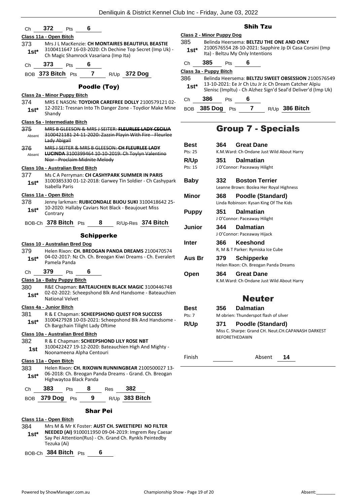| 372<br>6<br>Pts<br>Сh                                                                                                                                                                                  |                  | SI                                                                   |
|--------------------------------------------------------------------------------------------------------------------------------------------------------------------------------------------------------|------------------|----------------------------------------------------------------------|
| Class 11a - Open Bitch                                                                                                                                                                                 |                  | <b>Class 2 - Minor Puppy Dog</b>                                     |
| Mrs J L MacKenzie: CH MONTAIRES BEAUTIFUL BEASTIE<br>373<br>3100411647 16-03-2020: Ch Dechine Top Secret (Imp Uk) -<br>$1st^*$<br>Ch Magic Shamrock Vasariana (Imp Ita)                                | 385<br>$1st*$    | Belinda Heersema: B<br>2100576554 28-10-2<br>Ita) - Beltzu My Only   |
| 6<br>373<br>Pts<br>Ch                                                                                                                                                                                  | Ch               | 385<br>6<br>Pts                                                      |
| BOB 373 Bitch Pts<br>$\overline{7}$<br>R/Up 372 Dog                                                                                                                                                    |                  | Class 3a - Puppy Bitch                                               |
| Poodle (Toy)                                                                                                                                                                                           | 386<br>$1st^*$   | Belinda Heersema: B<br>13-10-2021: Ee Jr Ch<br>Slenisc (Impltu) - Ch |
| Class 2a - Minor Puppy Bitch                                                                                                                                                                           |                  | 386                                                                  |
| 374<br>MRS E NASON: TOYDIOR CAREFREE DOLLY 2100579121 02-<br>12-2021: Tresnan Into Th Danger Zone - Toydior Make Mine<br>$1st*$<br>Shandy                                                              | Ch<br><b>BOB</b> | 6<br>Pts<br>385 Dog<br>Pts                                           |
| Class 5a - Intermediate Bitch                                                                                                                                                                          |                  |                                                                      |
| 375<br>MRS B GLEESON & MRS J SEITER: FLEURLEE LADY CECILIA<br>3100421181 24 11 2020: Zazzin Playin With Fire Fleurlee<br>Absent<br>Lady Abigail                                                        |                  | <b>Group 7</b>                                                       |
| MRS J SEITER & MRS B GLEESON: CH FLEURLEE LADY<br>376                                                                                                                                                  | <b>Best</b>      | 364<br>Grea                                                          |
| <b>LUCINDA 3100399464 10-10-2019: Ch Toylyn Valentino</b><br>Absent                                                                                                                                    | Pts: 25          | K.M.Ward: Ch Or                                                      |
| Nior - Proclaim Midnite Melody                                                                                                                                                                         | R/Up             | 351<br>Dalm                                                          |
| Class 10a - Australian Bred Bitch                                                                                                                                                                      | Pts: 15          | J O'Connor: Pace                                                     |
| 377<br>Ms C A Perryman: CH CASHYPARK SUMMER IN PARIS<br>3100385330 01-12-2018: Garwey Tin Soldier - Ch Cashypark<br>$1st*$<br>Isabella Paris                                                           | <b>Baby</b>      | 332<br>Bost<br>Leanne Brown: B                                       |
| Class 11a - Open Bitch                                                                                                                                                                                 | <b>Minor</b>     | 368<br>Pooc                                                          |
| 378<br>Jenny larkman: RUBICONDALE BIJOU SUKI 3100418642 25-                                                                                                                                            |                  | Linda Robinson: I                                                    |
| 10-2020: Hallaby Caviars Not Black - Beaujouet Miss<br>$1st*$<br>Contrary                                                                                                                              | <b>Puppy</b>     | 351<br>Dalm<br>J O'Connor: Pace                                      |
| BOB-Ch 378 Bitch Pts<br>8<br>R/Up-Res 374 Bitch<br><b>Schipperke</b>                                                                                                                                   | Junior           | 344<br>Dalm<br>J O'Connor: Pace                                      |
| Class 10 - Australian Bred Dog<br>379<br>Helen Rixon: CH. BREOGAN PANDA DREAMS 2100470574                                                                                                              | Inter            | 366<br>Kees<br>R, M & T Parker:                                      |
| 04-02-2017: Nz Ch. Ch. Breogan Kiwi Dreams - Ch. Everalert<br>$1st*$<br>Pamela Panda                                                                                                                   | Aus Br           | 379<br>Schi<br>Helen Rixon: Ch.                                      |
| 379<br>6<br>Ch<br>Pts                                                                                                                                                                                  | Open             | 364<br>Grea                                                          |
| Class 1a - Baby Puppy Bitch                                                                                                                                                                            |                  | K.M.Ward: Ch Or                                                      |
| R&E Chapman: BATEAUCHIEN BLACK MAGIC 3100446748<br>380<br>02-02-2022: Scheepshond Blk And Handsome - Bateauchien<br>1st*<br><b>National Velvet</b>                                                     |                  | N                                                                    |
| Class 4a - Junior Bitch                                                                                                                                                                                | <b>Best</b>      | 356<br>Dalm                                                          |
| 381<br>R & E Chapman: SCHEEPSHOND QUEST FOR SUCCESS                                                                                                                                                    | Pts: 7           | M obrien: Thund                                                      |
| 3100427928 10-03-2021: Scheepshond Blk And Handsome -<br>$1st^*$<br>Ch Bargchain Tilight Lady Oftime                                                                                                   | R/Up             | 371<br>Pooc                                                          |
| Class 10a - Australian Bred Bitch                                                                                                                                                                      |                  | Miss C. Sharpe: G<br><b>BEFORETHEDAW</b>                             |
| 382<br>R & E Chapman: SCHEEPSHOND LILY ROSE NBT<br>3100422427 19-12-2020: Bateauchien High And Mighty -<br>1st<br>Noonameena Alpha Centouri                                                            |                  |                                                                      |
| Class 11a - Open Bitch                                                                                                                                                                                 | Finish           |                                                                      |
| 383<br>Helen Rixon: CH. RIXOWN RUNNINGBEAR 2100500027 13-                                                                                                                                              |                  |                                                                      |
| 06-2018: Ch. Breogan Panda Dreams - Grand. Ch. Breogan<br>$1st*$<br>Highwaytoa Black Panda                                                                                                             |                  |                                                                      |
| 383<br>382<br>8 —<br>Res<br>Pts<br>Ch                                                                                                                                                                  |                  |                                                                      |
| 9<br>R/Up 383 Bitch<br>379 Dog Pts<br>BOB                                                                                                                                                              |                  |                                                                      |
|                                                                                                                                                                                                        |                  |                                                                      |
| <b>Shar Pei</b>                                                                                                                                                                                        |                  |                                                                      |
| Class 11a - Open Bitch                                                                                                                                                                                 |                  |                                                                      |
| 384<br>Mrs M & Mr K Foster: AUST CH. SWEETIEPEI NO FILTER<br>NEEDED (AI) 9100011950 09-04-2019: Imgrem Rey Caesar<br>$1st^*$<br>Say Pei Attention(Rus) - Ch. Grand Ch. Rynkls Peintedby<br>Tezuka (Ai) |                  |                                                                      |

# Shih Tzu

|                | Class 2 - Minor Puppy Dog                                                                                                                |
|----------------|------------------------------------------------------------------------------------------------------------------------------------------|
| 385.<br>$1st*$ | Belinda Heersema: BELTZU THE ONE AND ONLY<br>2100576554 28-10-2021: Sapphire Jp Di Casa Corsini (Imp<br>Ita) - Beltzu My Only Intentions |
|                |                                                                                                                                          |

| Jn | ათა                  | ٢ľS |  |
|----|----------------------|-----|--|
|    | ass 3a - Puppy Bitch |     |  |

| 386    | Belinda Heersema: BELTZU SWEET OBSESSION 2100576549                                                                    |
|--------|------------------------------------------------------------------------------------------------------------------------|
| $1st*$ | 13-10-2021: Ee Jr Ch Ltu Jr Jc Ch Dream Catcher Alpiu<br>Slenisc (Impltu) - Ch Alzhez Sign'd Seal'd Deliver'd (Imp Uk) |

Ch **386** Pts **6**

BOB **385 Dog** Pts **7** R/Up **386 Bitch**

# up 7 - Specials

| Best         | 364 | <b>Great Dane</b>                                  |
|--------------|-----|----------------------------------------------------|
| Pts: 25      |     | K.M.Ward: Ch Ondane Just Wild About Harry          |
| R/Up         | 351 | <b>Dalmatian</b>                                   |
| Pts: 15      |     | J O'Connor: Paceaway Hilight                       |
|              |     |                                                    |
| Baby         | 332 | <b>Boston Terrier</b>                              |
|              |     | Leanne Brown: Boslea Her Royal Highness            |
| <b>Minor</b> | 368 | Poodle (Standard)                                  |
|              |     | Linda Robinson: Kysan King Of The Kids             |
| <b>Puppy</b> | 351 | <b>Dalmatian</b>                                   |
|              |     | J O'Connor: Paceaway Hilight                       |
|              |     |                                                    |
| Junior       | 344 | <b>Dalmatian</b>                                   |
|              |     | J O'Connor: Paceaway Hijack                        |
| Inter        | 366 | Keeshond                                           |
|              |     | R, M & T Parker: Rymiska Ice Cube                  |
| Aus Br       | 379 | <b>Schipperke</b>                                  |
|              |     | Helen Rixon: Ch. Breogan Panda Dreams              |
| Open         | 364 | <b>Great Dane</b>                                  |
|              |     | K.M.Ward: Ch Ondane Just Wild About Harry          |
|              |     |                                                    |
|              |     |                                                    |
|              |     | <b>Neuter</b>                                      |
| Best         | 356 | <b>Dalmatian</b>                                   |
| Pts: 7       |     | M obrien: Thunderspot flash of silver              |
| R/Up         | 371 | Poodle (Standard)                                  |
|              |     | Miss C. Sharpe: Grand CH. Neut.CH.CAPANASH DARKEST |
|              |     | <b>BEFORETHEDAWN</b>                               |
|              |     |                                                    |
|              |     |                                                    |
| Finish       |     | 14<br>Absent                                       |
|              |     |                                                    |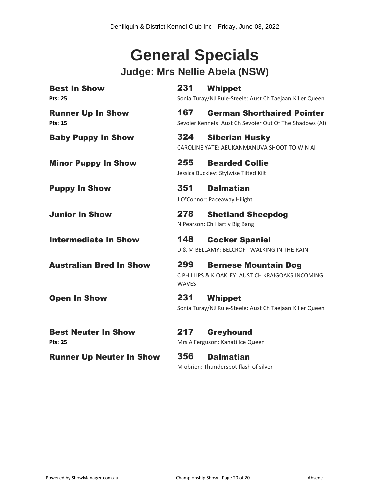# **General Specials Judge: Mrs Nellie Abela (NSW)**

| <b>Best In Show</b><br><b>Pts: 25</b>        | 231                 | <b>Whippet</b><br>Sonia Turay/NJ Rule-Steele: Aust Ch Taejaan Killer Queen                    |
|----------------------------------------------|---------------------|-----------------------------------------------------------------------------------------------|
| <b>Runner Up In Show</b><br>Pts: 15          | 167                 | <b>German Shorthaired Pointer</b><br>Sevoier Kennels: Aust Ch Sevoier Out Of The Shadows (AI) |
| <b>Baby Puppy In Show</b>                    | 324                 | <b>Siberian Husky</b><br>CAROLINE YATE: AEUKANMANUVA SHOOT TO WIN AI                          |
| <b>Minor Puppy In Show</b>                   | 255                 | <b>Bearded Collie</b><br>Jessica Buckley: Stylwise Tilted Kilt                                |
| <b>Puppy In Show</b>                         | 351                 | <b>Dalmatian</b><br>J O'Connor: Paceaway Hilight                                              |
| <b>Junior In Show</b>                        | 278                 | <b>Shetland Sheepdog</b><br>N Pearson: Ch Hartly Big Bang                                     |
| <b>Intermediate In Show</b>                  | 148                 | <b>Cocker Spaniel</b><br>D & M BELLAMY: BELCROFT WALKING IN THE RAIN                          |
| <b>Australian Bred In Show</b>               | 299<br><b>WAVES</b> | <b>Bernese Mountain Dog</b><br>C PHILLIPS & K OAKLEY: AUST CH KRAIGOAKS INCOMING              |
| <b>Open In Show</b>                          | 231                 | <b>Whippet</b><br>Sonia Turay/NJ Rule-Steele: Aust Ch Taejaan Killer Queen                    |
| <b>Best Neuter In Show</b><br><b>Pts: 25</b> | 217                 | <b>Greyhound</b><br>Mrs A Ferguson: Kanati Ice Queen                                          |
| <b>Runner Up Neuter In Show</b>              | 356                 | <b>Dalmatian</b><br>M obrien: Thunderspot flash of silver                                     |